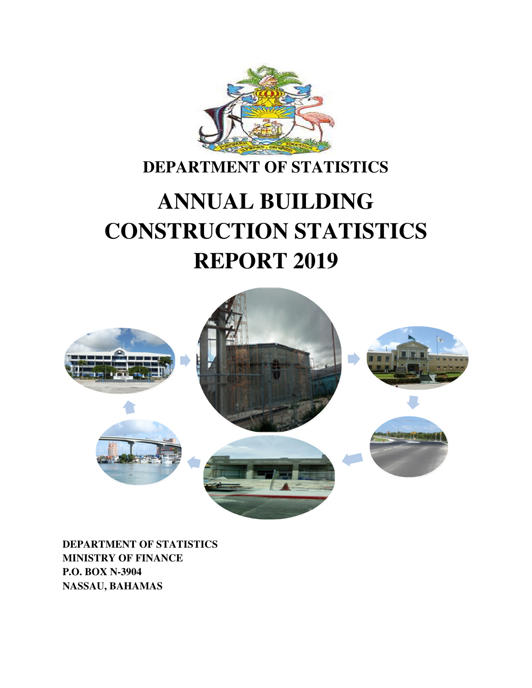

# **DEPARTMENT OF STATISTICS**

# **ANNUAL BUILDING CONSTRUCTION STATISTICS REPORT 2019**



**DEPARTMENT OF STATISTICS MINISTRY OF FINANCE P.O. BOX N-3904 NASSAU, BAHAMAS**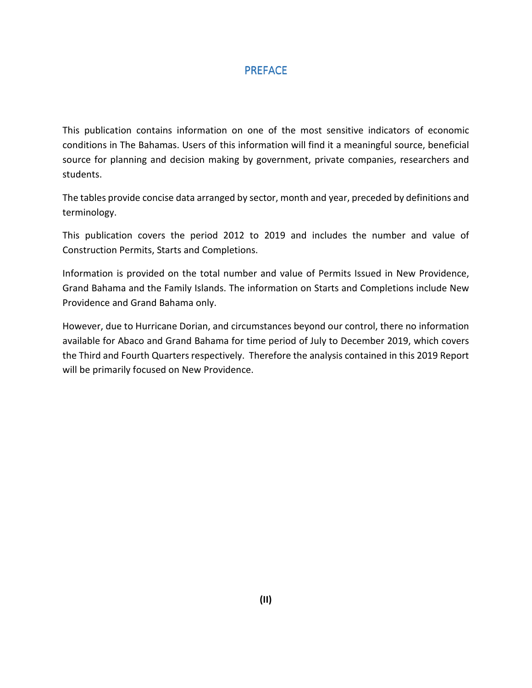### PREFACE

This publication contains information on one of the most sensitive indicators of economic conditions in The Bahamas. Users of this information will find it a meaningful source, beneficial source for planning and decision making by government, private companies, researchers and students.

The tables provide concise data arranged by sector, month and year, preceded by definitions and terminology.

This publication covers the period 2012 to 2019 and includes the number and value of Construction Permits, Starts and Completions.

Information is provided on the total number and value of Permits Issued in New Providence, Grand Bahama and the Family Islands. The information on Starts and Completions include New Providence and Grand Bahama only.

However, due to Hurricane Dorian, and circumstances beyond our control, there no information available for Abaco and Grand Bahama for time period of July to December 2019, which covers the Third and Fourth Quarters respectively. Therefore the analysis contained in this 2019 Report will be primarily focused on New Providence.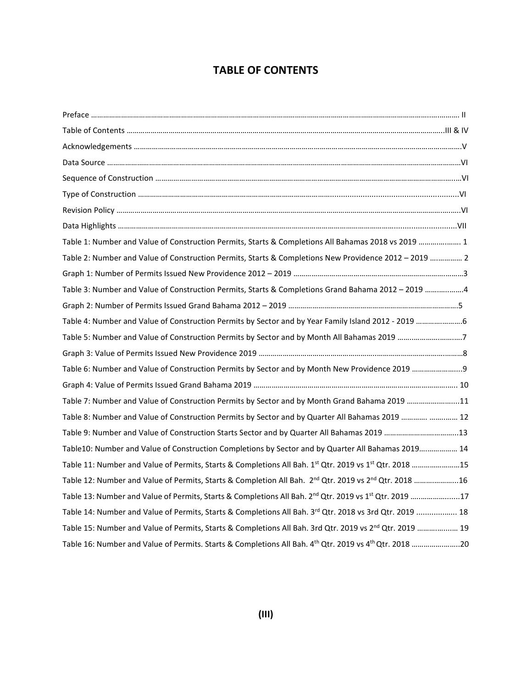## **TABLE OF CONTENTS**

| Table 1: Number and Value of Construction Permits, Starts & Completions All Bahamas 2018 vs 2019  1                            |
|--------------------------------------------------------------------------------------------------------------------------------|
| Table 2: Number and Value of Construction Permits, Starts & Completions New Providence 2012 - 2019  2                          |
|                                                                                                                                |
| Table 3: Number and Value of Construction Permits, Starts & Completions Grand Bahama 2012 - 2019 4                             |
|                                                                                                                                |
| Table 4: Number and Value of Construction Permits by Sector and by Year Family Island 2012 - 2019 6                            |
| Table 5: Number and Value of Construction Permits by Sector and by Month All Bahamas 2019 7                                    |
|                                                                                                                                |
|                                                                                                                                |
|                                                                                                                                |
| Table 7: Number and Value of Construction Permits by Sector and by Month Grand Bahama 2019 11                                  |
| Table 8: Number and Value of Construction Permits by Sector and by Quarter All Bahamas 2019   12                               |
| Table 9: Number and Value of Construction Starts Sector and by Quarter All Bahamas 2019 13                                     |
| Table10: Number and Value of Construction Completions by Sector and by Quarter All Bahamas 2019 14                             |
| Table 11: Number and Value of Permits, Starts & Completions All Bah. 1 <sup>st</sup> Qtr. 2019 vs 1 <sup>st</sup> Qtr. 2018 15 |
| Table 12: Number and Value of Permits, Starts & Completion All Bah. 2 <sup>nd</sup> Qtr. 2019 vs 2 <sup>nd</sup> Qtr. 2018 16  |
| Table 13: Number and Value of Permits, Starts & Completions All Bah. 2 <sup>nd</sup> Qtr. 2019 vs 1 <sup>st</sup> Qtr. 2019 17 |
| Table 14: Number and Value of Permits, Starts & Completions All Bah. 3rd Qtr. 2018 vs 3rd Qtr. 2019  18                        |
| Table 15: Number and Value of Permits, Starts & Completions All Bah. 3rd Qtr. 2019 vs 2 <sup>nd</sup> Qtr. 2019  19            |
| Table 16: Number and Value of Permits. Starts & Completions All Bah. 4 <sup>th</sup> Qtr. 2019 vs 4 <sup>th</sup> Qtr. 2018 20 |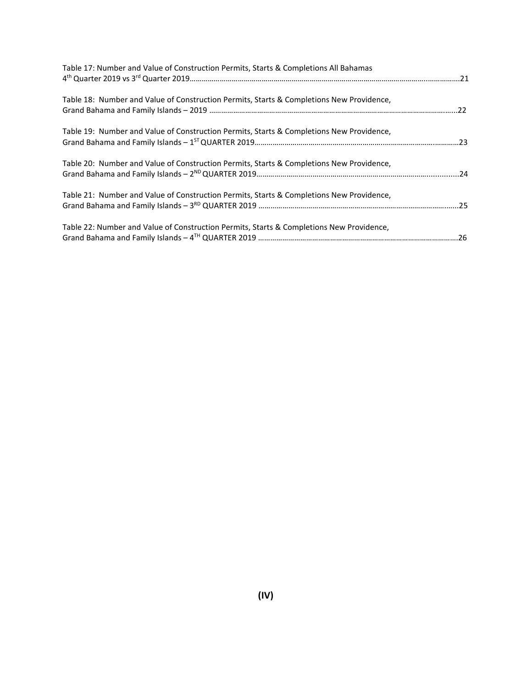| Table 17: Number and Value of Construction Permits, Starts & Completions All Bahamas     |  |
|------------------------------------------------------------------------------------------|--|
| Table 18: Number and Value of Construction Permits, Starts & Completions New Providence, |  |
| Table 19: Number and Value of Construction Permits, Starts & Completions New Providence, |  |
| Table 20: Number and Value of Construction Permits, Starts & Completions New Providence, |  |
| Table 21: Number and Value of Construction Permits, Starts & Completions New Providence, |  |
| Table 22: Number and Value of Construction Permits, Starts & Completions New Providence, |  |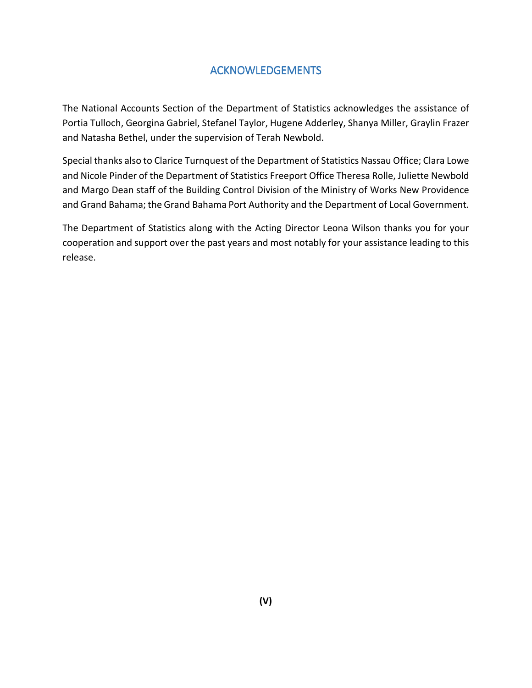## ACKNOWLEDGEMENTS

The National Accounts Section of the Department of Statistics acknowledges the assistance of Portia Tulloch, Georgina Gabriel, Stefanel Taylor, Hugene Adderley, Shanya Miller, Graylin Frazer and Natasha Bethel, under the supervision of Terah Newbold.

Special thanks also to Clarice Turnquest of the Department of Statistics Nassau Office; Clara Lowe and Nicole Pinder of the Department of Statistics Freeport Office Theresa Rolle, Juliette Newbold and Margo Dean staff of the Building Control Division of the Ministry of Works New Providence and Grand Bahama; the Grand Bahama Port Authority and the Department of Local Government.

The Department of Statistics along with the Acting Director Leona Wilson thanks you for your cooperation and support over the past years and most notably for your assistance leading to this release.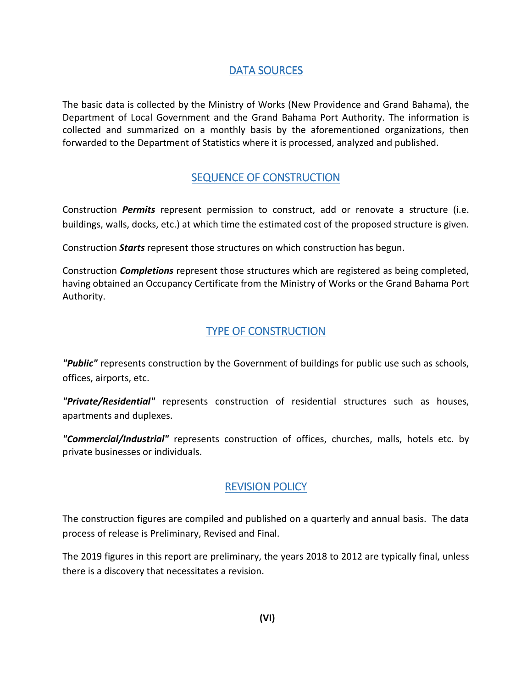## DATA SOURCES

The basic data is collected by the Ministry of Works (New Providence and Grand Bahama), the Department of Local Government and the Grand Bahama Port Authority. The information is collected and summarized on a monthly basis by the aforementioned organizations, then forwarded to the Department of Statistics where it is processed, analyzed and published.

## SEQUENCE OF CONSTRUCTION

Construction *Permits* represent permission to construct, add or renovate a structure (i.e. buildings, walls, docks, etc.) at which time the estimated cost of the proposed structure is given.

Construction *Starts* represent those structures on which construction has begun.

Construction *Completions* represent those structures which are registered as being completed, having obtained an Occupancy Certificate from the Ministry of Works or the Grand Bahama Port Authority.

## TYPE OF CONSTRUCTION

*"Public"* represents construction by the Government of buildings for public use such as schools, offices, airports, etc.

*"Private/Residential"* represents construction of residential structures such as houses, apartments and duplexes.

*"Commercial/Industrial"* represents construction of offices, churches, malls, hotels etc. by private businesses or individuals.

## **REVISION POLICY**

The construction figures are compiled and published on a quarterly and annual basis. The data process of release is Preliminary, Revised and Final.

The 2019 figures in this report are preliminary, the years 2018 to 2012 are typically final, unless there is a discovery that necessitates a revision.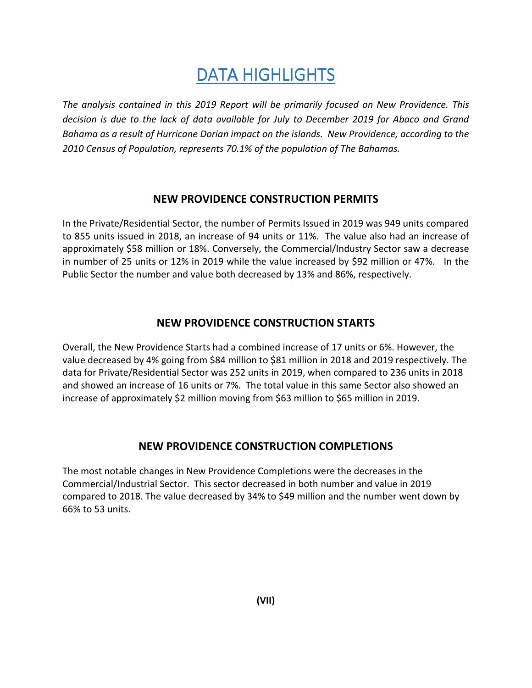# DATA HIGHLIGHTS

*The analysis contained in this 2019 Report will be primarily focused on New Providence. This decision is due to the lack of data available for July to December 2019 for Abaco and Grand Bahama as a result of Hurricane Dorian impact on the islands. New Providence, according to the 2010 Census of Population, represents 70.1% of the population of The Bahamas.* 

#### **NEW PROVIDENCE CONSTRUCTION PERMITS**

In the Private/Residential Sector, the number of Permits Issued in 2019 was 949 units compared to 855 units issued in 2018, an increase of 94 units or 11%. The value also had an increase of approximately \$58 million or 18%. Conversely, the Commercial/Industry Sector saw a decrease in number of 25 units or 12% in 2019 while the value increased by \$92 million or 47%. In the Public Sector the number and value both decreased by 13% and 86%, respectively.

## **NEW PROVIDENCE CONSTRUCTION STARTS**

Overall, the New Providence Starts had a combined increase of 17 units or 6%. However, the value decreased by 4% going from \$84 million to \$81 million in 2018 and 2019 respectively. The data for Private/Residential Sector was 252 units in 2019, when compared to 236 units in 2018 and showed an increase of 16 units or 7%. The total value in this same Sector also showed an increase of approximately \$2 million moving from \$63 million to \$65 million in 2019.

## **NEW PROVIDENCE CONSTRUCTION COMPLETIONS**

The most notable changes in New Providence Completions were the decreases in the Commercial/Industrial Sector. This sector decreased in both number and value in 2019 compared to 2018. The value decreased by 34% to \$49 million and the number went down by 66% to 53 units.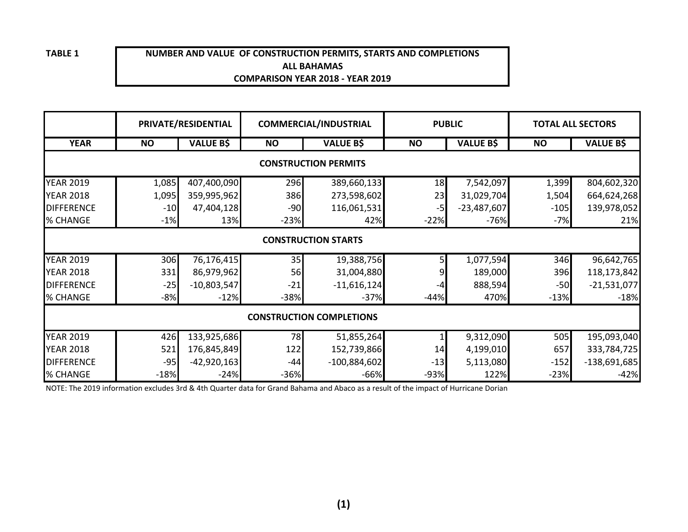#### **NUMBER AND VALUE OF CONSTRUCTION PERMITS, STARTS AND COMPLETIONSALL BAHAMASCOMPARISON YEAR 2018 - YEAR 2019**

|                                 |                            | PRIVATE/RESIDENTIAL |           | <b>COMMERCIAL/INDUSTRIAL</b> |           | <b>PUBLIC</b>    | <b>TOTAL ALL SECTORS</b> |                  |  |  |  |  |
|---------------------------------|----------------------------|---------------------|-----------|------------------------------|-----------|------------------|--------------------------|------------------|--|--|--|--|
| <b>YEAR</b>                     | <b>NO</b>                  | <b>VALUE B\$</b>    | <b>NO</b> | <b>VALUE B\$</b>             | <b>NO</b> | <b>VALUE B\$</b> | <b>NO</b>                | <b>VALUE B\$</b> |  |  |  |  |
| <b>CONSTRUCTION PERMITS</b>     |                            |                     |           |                              |           |                  |                          |                  |  |  |  |  |
| <b>YEAR 2019</b>                | 1,085                      | 407,400,090         | 296       | 389,660,133                  | 18        | 7,542,097        | 1,399                    | 804,602,320      |  |  |  |  |
| <b>YEAR 2018</b>                | 1,095                      | 359,995,962         | 386       | 273,598,602                  | 23        | 31,029,704       | 1,504                    | 664,624,268      |  |  |  |  |
| <b>DIFFERENCE</b>               | $-10$                      | 47,404,128          | $-90$     | 116,061,531                  | $-5$      | $-23,487,607$    | $-105$                   | 139,978,052      |  |  |  |  |
| % CHANGE                        | $-1%$                      | 13%                 | $-23%$    | 42%                          | $-22%$    | $-76%$           | $-7%$                    | 21%              |  |  |  |  |
|                                 | <b>CONSTRUCTION STARTS</b> |                     |           |                              |           |                  |                          |                  |  |  |  |  |
| <b>YEAR 2019</b>                | 306                        | 76,176,415          | 35        | 19,388,756                   |           | 1,077,594        | 346                      | 96,642,765       |  |  |  |  |
| <b>YEAR 2018</b>                | 331                        | 86,979,962          | 56        | 31,004,880                   |           | 189,000          | 396                      | 118,173,842      |  |  |  |  |
| <b>DIFFERENCE</b>               | $-25$                      | $-10,803,547$       | $-21$     | $-11,616,124$                |           | 888,594          | $-50$                    | $-21,531,077$    |  |  |  |  |
| % CHANGE                        | $-8%$                      | $-12%$              | $-38%$    | $-37%$                       | $-44%$    | 470%             | $-13%$                   | $-18%$           |  |  |  |  |
| <b>CONSTRUCTION COMPLETIONS</b> |                            |                     |           |                              |           |                  |                          |                  |  |  |  |  |
| <b>YEAR 2019</b>                | 426                        | 133,925,686         | 78        | 51,855,264                   |           | 9,312,090        | 505                      | 195,093,040      |  |  |  |  |
| <b>YEAR 2018</b>                | 521                        | 176,845,849         | 122       | 152,739,866                  | 14        | 4,199,010        | 657                      | 333,784,725      |  |  |  |  |
| <b>DIFFERENCE</b>               | $-95$                      | $-42,920,163$       | $-44$     | $-100,884,602$               | $-13$     | 5,113,080        | $-152$                   | $-138,691,685$   |  |  |  |  |
| % CHANGE                        | $-18%$                     | $-24%$              | $-36%$    | $-66%$                       | $-93%$    | 122%             | $-23%$                   | $-42%$           |  |  |  |  |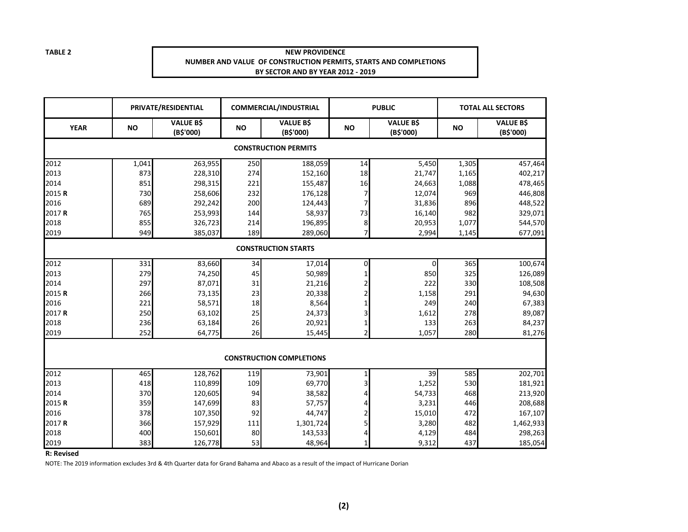#### **NEW PROVIDENCE NUMBER AND VALUE OF CONSTRUCTION PERMITS, STARTS AND COMPLETIONSBY SECTOR AND BY YEAR 2012 - 2019**

|                   |           | PRIVATE/RESIDENTIAL           |           | <b>COMMERCIAL/INDUSTRIAL</b>    |                         | <b>PUBLIC</b>                 |           | <b>TOTAL ALL SECTORS</b>      |
|-------------------|-----------|-------------------------------|-----------|---------------------------------|-------------------------|-------------------------------|-----------|-------------------------------|
| <b>YEAR</b>       | <b>NO</b> | <b>VALUE B\$</b><br>(B\$'000) | <b>NO</b> | <b>VALUE B\$</b><br>(B\$'000)   | <b>NO</b>               | <b>VALUE B\$</b><br>(B\$'000) | <b>NO</b> | <b>VALUE B\$</b><br>(B\$'000) |
|                   |           |                               |           | <b>CONSTRUCTION PERMITS</b>     |                         |                               |           |                               |
| 2012              | 1,041     | 263,955                       | 250       | 188,059                         | 14                      | 5,450                         | 1,305     | 457,464                       |
| 2013              | 873       | 228,310                       | 274       | 152,160                         | 18                      | 21,747                        | 1,165     | 402,217                       |
| 2014              | 851       | 298,315                       | 221       | 155,487                         | 16                      | 24,663                        | 1,088     | 478,465                       |
| 2015R             | 730       | 258,606                       | 232       | 176,128                         | 7                       | 12,074                        | 969       | 446,808                       |
| 2016              | 689       | 292,242                       | 200       | 124,443                         | 7                       | 31,836                        | 896       | 448,522                       |
| 2017R             | 765       | 253,993                       | 144       | 58,937                          | 73                      | 16,140                        | 982       | 329,071                       |
| 2018              | 855       | 326,723                       | 214       | 196,895                         | 8                       | 20,953                        | 1,077     | 544,570                       |
| 2019              | 949       | 385,037                       | 189       | 289,060                         | $\overline{7}$          | 2,994                         | 1,145     | 677,091                       |
|                   |           |                               |           | <b>CONSTRUCTION STARTS</b>      |                         |                               |           |                               |
| 2012              | 331       | 83,660                        | 34        | 17,014                          | 0                       | 0                             | 365       | 100,674                       |
| 2013              | 279       | 74,250                        | 45        | 50,989                          | 1                       | 850                           | 325       | 126,089                       |
| 2014              | 297       | 87,071                        | 31        | 21,216                          |                         | 222                           | 330       | 108,508                       |
| 2015R             | 266       | 73,135                        | 23        | 20,338                          |                         | 1,158                         | 291       | 94,630                        |
| 2016              | 221       | 58,571                        | 18        | 8,564                           | 1                       | 249                           | 240       | 67,383                        |
| 2017R             | 250       | 63,102                        | 25        | 24,373                          | 3                       | 1,612                         | 278       | 89,087                        |
| 2018              | 236       | 63,184                        | 26        | 20,921                          | 1                       | 133                           | 263       | 84,237                        |
| 2019              | 252       | 64,775                        | 26        | 15,445                          | $\overline{\mathbf{c}}$ | 1,057                         | 280       | 81,276                        |
|                   |           |                               |           | <b>CONSTRUCTION COMPLETIONS</b> |                         |                               |           |                               |
| 2012              | 465       | 128,762                       | 119       | 73,901                          | $\mathbf{1}$            | 39                            | 585       | 202,701                       |
| 2013              | 418       | 110,899                       | 109       | 69,770                          | $\overline{\mathbf{3}}$ | 1,252                         | 530       | 181,921                       |
| 2014              | 370       | 120,605                       | 94        | 38,582                          | 4                       | 54,733                        | 468       | 213,920                       |
| 2015R             | 359       | 147,699                       | 83        | 57,757                          | 4                       | 3,231                         | 446       | 208,688                       |
| 2016              | 378       | 107,350                       | 92        | 44,747                          | 2                       | 15,010                        | 472       | 167,107                       |
| 2017 <sub>R</sub> | 366       | 157,929                       | 111       | 1,301,724                       | 5                       | 3,280                         | 482       | 1,462,933                     |
| 2018              | 400       | 150,601                       | 80        | 143,533                         | 4                       | 4,129                         | 484       | 298,263                       |
| 2019              | 383       | 126,778                       | 53        | 48,964                          | 1                       | 9,312                         | 437       | 185,054                       |

**R: Revised**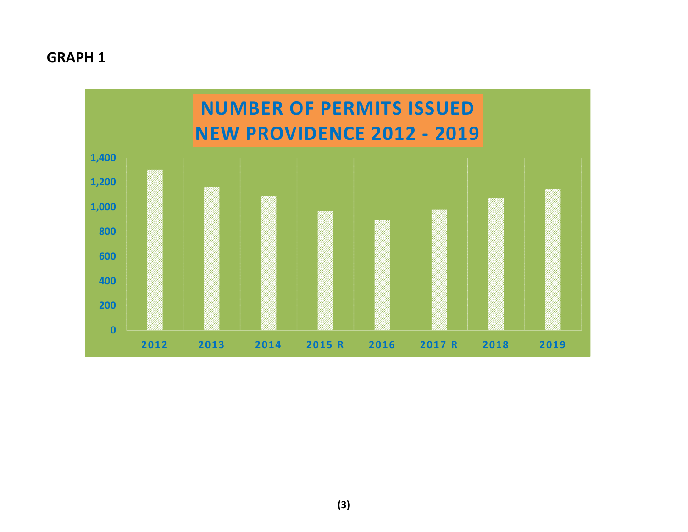## **GRAPH 1**

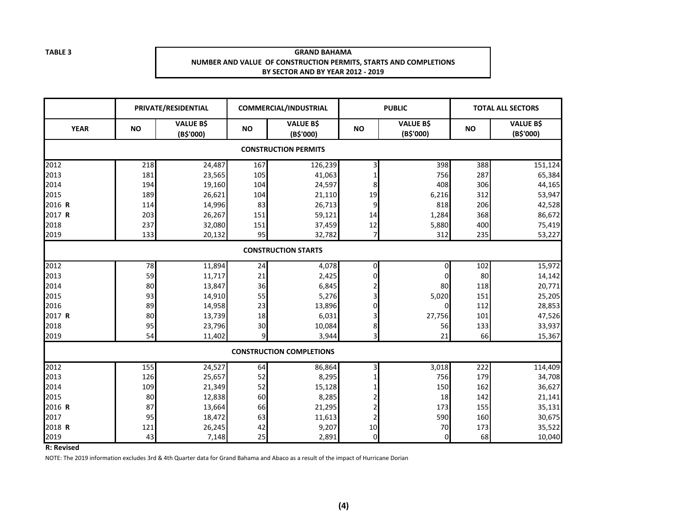#### **GRAND BAHAMA NUMBER AND VALUE OF CONSTRUCTION PERMITS, STARTS AND COMPLETIONSBY SECTOR AND BY YEAR 2012 - 2019**

|             | PRIVATE/RESIDENTIAL         |                               | <b>COMMERCIAL/INDUSTRIAL</b> |                                 |                | <b>PUBLIC</b>                 |           | <b>TOTAL ALL SECTORS</b>      |  |  |
|-------------|-----------------------------|-------------------------------|------------------------------|---------------------------------|----------------|-------------------------------|-----------|-------------------------------|--|--|
| <b>YEAR</b> | <b>NO</b>                   | <b>VALUE B\$</b><br>(B\$'000) | <b>NO</b>                    | <b>VALUE B\$</b><br>(B\$'000)   | <b>NO</b>      | <b>VALUE B\$</b><br>(B\$'000) | <b>NO</b> | <b>VALUE B\$</b><br>(B\$'000) |  |  |
|             | <b>CONSTRUCTION PERMITS</b> |                               |                              |                                 |                |                               |           |                               |  |  |
| 2012        | 218                         | 24,487                        | 167                          | 126,239                         | 3              | 398                           | 388       | 151,124                       |  |  |
| 2013        | 181                         | 23,565                        | 105                          | 41,063                          |                | 756                           | 287       | 65,384                        |  |  |
| 2014        | 194                         | 19,160                        | 104                          | 24,597                          | 8              | 408                           | 306       | 44,165                        |  |  |
| 2015        | 189                         | 26,621                        | 104                          | 21,110                          | 19             | 6,216                         | 312       | 53,947                        |  |  |
| 2016 R      | 114                         | 14,996                        | 83                           | 26,713                          | 9              | 818                           | 206       | 42,528                        |  |  |
| 2017 R      | 203                         | 26,267                        | 151                          | 59,121                          | 14             | 1,284                         | 368       | 86,672                        |  |  |
| 2018        | 237                         | 32,080                        | 151                          | 37,459                          | 12             | 5,880                         | 400       | 75,419                        |  |  |
| 2019        | 133                         | 20,132                        | 95                           | 32,782                          | 7              | 312                           | 235       | 53,227                        |  |  |
|             | <b>CONSTRUCTION STARTS</b>  |                               |                              |                                 |                |                               |           |                               |  |  |
| 2012        | 78                          | 11,894                        | 24                           | 4,078                           | 0              | 0                             | 102       | 15,972                        |  |  |
| 2013        | 59                          | 11,717                        | 21                           | 2,425                           | $\Omega$       | $\Omega$                      | 80        | 14,142                        |  |  |
| 2014        | 80                          | 13,847                        | 36                           | 6,845                           |                | 80                            | 118       | 20,771                        |  |  |
| 2015        | 93                          | 14,910                        | 55                           | 5,276                           | 3              | 5,020                         | 151       | 25,205                        |  |  |
| 2016        | 89                          | 14,958                        | 23                           | 13,896                          | $\Omega$       | 0                             | 112       | 28,853                        |  |  |
| 2017 R      | 80                          | 13,739                        | 18                           | 6,031                           |                | 27,756                        | 101       | 47,526                        |  |  |
| 2018        | 95                          | 23,796                        | 30                           | 10,084                          | 8              | 56                            | 133       | 33,937                        |  |  |
| 2019        | 54                          | 11,402                        | $\mathbf{q}$                 | 3,944                           | $\overline{3}$ | 21                            | 66        | 15,367                        |  |  |
|             |                             |                               |                              | <b>CONSTRUCTION COMPLETIONS</b> |                |                               |           |                               |  |  |
| 2012        | 155                         | 24,527                        | 64                           | 86,864                          | 3              | 3,018                         | 222       | 114,409                       |  |  |
| 2013        | 126                         | 25,657                        | 52                           | 8,295                           |                | 756                           | 179       | 34,708                        |  |  |
| 2014        | 109                         | 21,349                        | 52                           | 15,128                          |                | 150                           | 162       | 36,627                        |  |  |
| 2015        | 80                          | 12,838                        | 60                           | 8,285                           |                | 18                            | 142       | 21,141                        |  |  |
| 2016 R      | 87                          | 13,664                        | 66                           | 21,295                          |                | 173                           | 155       | 35,131                        |  |  |
| 2017        | 95                          | 18,472                        | 63                           | 11,613                          |                | 590                           | 160       | 30,675                        |  |  |
| 2018 R      | 121                         | 26,245                        | 42                           | 9,207                           | 10             | 70                            | 173       | 35,522                        |  |  |
| 2019        | 43                          | 7,148                         | 25                           | 2,891                           | $\overline{0}$ | 0                             | 68        | 10,040                        |  |  |

**R: Revised**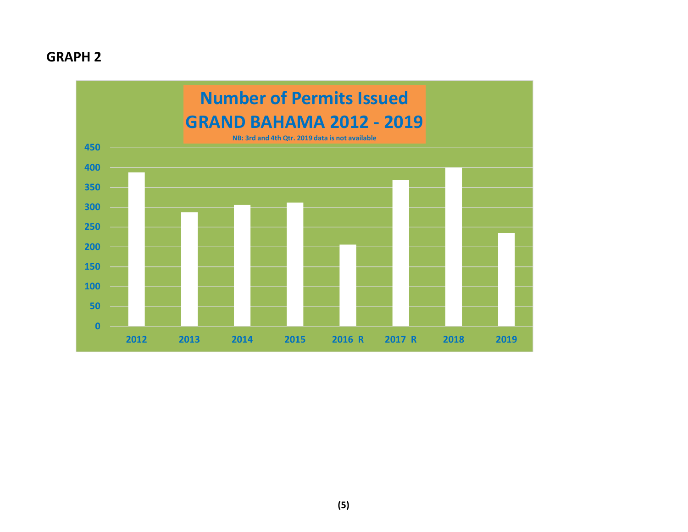## **GRAPH 2**

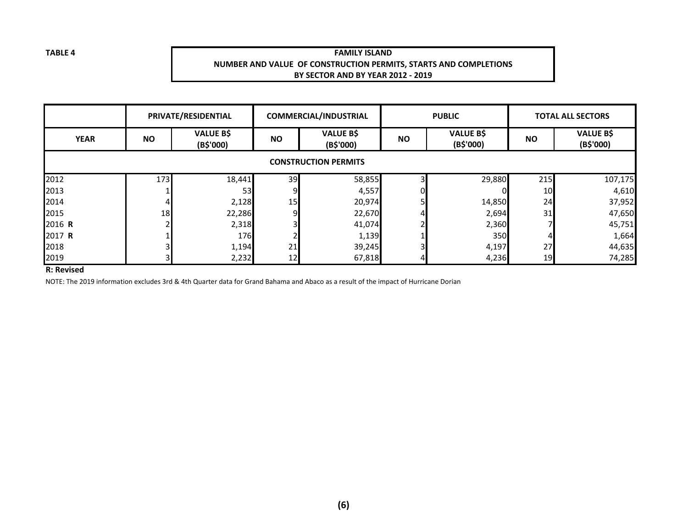#### **FAMILY ISLAND NUMBER AND VALUE OF CONSTRUCTION PERMITS, STARTS AND COMPLETIONSBY SECTOR AND BY YEAR 2012 - 2019**

|                             |           | PRIVATE/RESIDENTIAL           |           | <b>COMMERCIAL/INDUSTRIAL</b>  | <b>PUBLIC</b> |                               | <b>TOTAL ALL SECTORS</b> |                               |  |  |  |  |
|-----------------------------|-----------|-------------------------------|-----------|-------------------------------|---------------|-------------------------------|--------------------------|-------------------------------|--|--|--|--|
| <b>YEAR</b>                 | <b>NO</b> | <b>VALUE B\$</b><br>(B\$'000) | <b>NO</b> | <b>VALUE B\$</b><br>(B\$'000) | <b>NO</b>     | <b>VALUE B\$</b><br>(B\$'000) | <b>NO</b>                | <b>VALUE B\$</b><br>(B\$'000) |  |  |  |  |
| <b>CONSTRUCTION PERMITS</b> |           |                               |           |                               |               |                               |                          |                               |  |  |  |  |
| 2012                        | 173       | 18,441                        | 39        | 58,855                        |               | 29,880                        | 215                      | 107,175                       |  |  |  |  |
| 2013                        |           | 53                            |           | 4,557                         | 01            |                               | 10                       | 4,610                         |  |  |  |  |
| 2014                        |           | 2,128                         | 15        | 20,974                        |               | 14,850                        | 24                       | 37,952                        |  |  |  |  |
| 2015                        | <b>18</b> | 22,286                        |           | 22,670                        |               | 2,694                         | 31                       | 47,650                        |  |  |  |  |
| 2016 R                      |           | 2,318                         |           | 41,074                        |               | 2,360                         |                          | 45,751                        |  |  |  |  |
| 2017 R                      |           | 176                           |           | 1,139                         |               | 350l                          |                          | 1,664                         |  |  |  |  |
| 2018                        |           | 1,194                         | 21        | 39,245                        |               | 4,197                         | 27                       | 44,635                        |  |  |  |  |
| 2019                        |           | 2,232                         | 12        | 67,818                        |               | 4,236                         | 19                       | 74,285                        |  |  |  |  |

#### **R: Revised**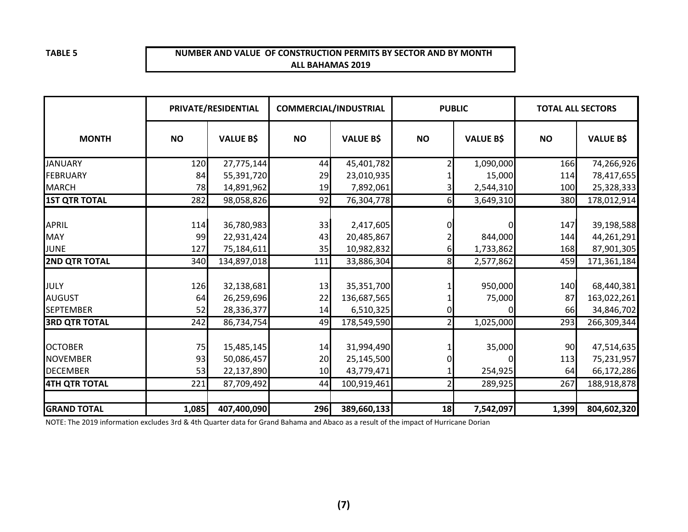#### **NUMBER AND VALUE OF CONSTRUCTION PERMITS BY SECTOR AND BY MONTHALL BAHAMAS 2019**

|                                   | PRIVATE/RESIDENTIAL |                          | <b>COMMERCIAL/INDUSTRIAL</b> |                          |           | <b>PUBLIC</b>    | <b>TOTAL ALL SECTORS</b> |                           |
|-----------------------------------|---------------------|--------------------------|------------------------------|--------------------------|-----------|------------------|--------------------------|---------------------------|
| <b>MONTH</b>                      | <b>NO</b>           | <b>VALUE B\$</b>         | <b>NO</b>                    | <b>VALUE B\$</b>         | <b>NO</b> | <b>VALUE B\$</b> | <b>NO</b>                | <b>VALUE B\$</b>          |
| <b>JANUARY</b>                    | 120                 | 27,775,144               | 44                           | 45,401,782               |           | 1,090,000        | 166                      | 74,266,926                |
| <b>FEBRUARY</b>                   | 84                  | 55,391,720               | 29                           | 23,010,935               |           | 15,000           | 114                      | 78,417,655                |
| <b>MARCH</b>                      | 78                  | 14,891,962               | 19                           | 7,892,061                |           | 2,544,310        | 100                      | 25,328,333                |
| <b>1ST QTR TOTAL</b>              | 282                 | 98,058,826               | 92                           | 76,304,778               | 6         | 3,649,310        | 380                      | 178,012,914               |
| <b>APRIL</b>                      | 114                 | 36,780,983               | 33                           | 2,417,605                |           |                  | 147                      | 39,198,588                |
| <b>MAY</b>                        | 99                  | 22,931,424               | 43                           | 20,485,867               |           | 844,000          | 144                      | 44,261,291                |
| JUNE                              | 127                 | 75,184,611               | 35                           | 10,982,832               | 6         | 1,733,862        | 168                      | 87,901,305                |
| <b>2ND QTR TOTAL</b>              | 340                 | 134,897,018              | 111                          | 33,886,304               | 8         | 2,577,862        | 459                      | 171,361,184               |
|                                   |                     |                          |                              |                          |           |                  |                          |                           |
| JULY                              | 126                 | 32,138,681               | 13                           | 35,351,700               |           | 950,000          | 140                      | 68,440,381                |
| <b>AUGUST</b><br><b>SEPTEMBER</b> | 64<br>52            | 26,259,696               | 22<br>14                     | 136,687,565              |           | 75,000           | 87<br><b>66</b>          | 163,022,261               |
| <b>3RD QTR TOTAL</b>              | 242                 | 28,336,377<br>86,734,754 | 49                           | 6,510,325<br>178,549,590 |           | 1,025,000        | 293                      | 34,846,702<br>266,309,344 |
|                                   |                     |                          |                              |                          |           |                  |                          |                           |
| <b>OCTOBER</b>                    | 75                  | 15,485,145               | 14                           | 31,994,490               |           | 35,000           | 90                       | 47,514,635                |
| <b>NOVEMBER</b>                   | 93                  | 50,086,457               | 20                           | 25,145,500               |           |                  | 113                      | 75,231,957                |
| <b>DECEMBER</b>                   | 53                  | 22,137,890               | 10 <sup>1</sup>              | 43,779,471               |           | 254,925          | 64                       | 66,172,286                |
| <b>4TH QTR TOTAL</b>              | 221                 | 87,709,492               | 44                           | 100,919,461              |           | 289,925          | 267                      | 188,918,878               |
|                                   |                     |                          |                              |                          |           |                  |                          |                           |
| <b>GRAND TOTAL</b>                | 1,085               | 407,400,090              | 296                          | 389,660,133              | 18        | 7,542,097        | 1,399                    | 804,602,320               |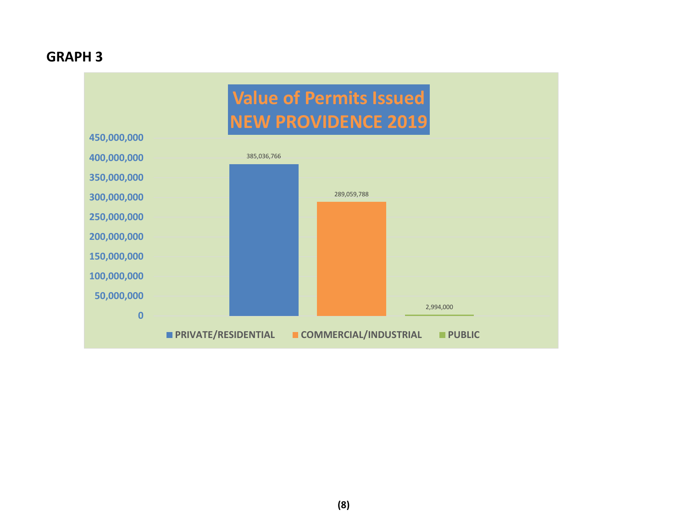## **GRAPH 3**

# **Value of Permits IssuedNEW PROVIDENCE 2019**

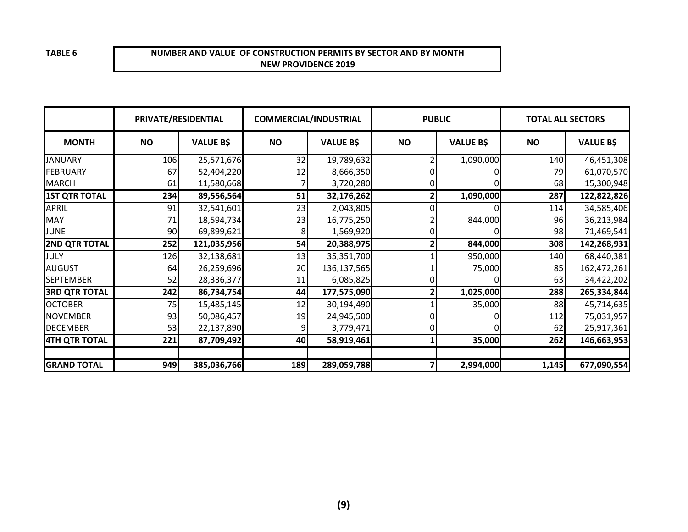#### **NUMBER AND VALUE OF CONSTRUCTION PERMITS BY SECTOR AND BY MONTHNEW PROVIDENCE 2019**

|                      |           | PRIVATE/RESIDENTIAL |           | <b>COMMERCIAL/INDUSTRIAL</b> |           | <b>PUBLIC</b>    |           | <b>TOTAL ALL SECTORS</b> |
|----------------------|-----------|---------------------|-----------|------------------------------|-----------|------------------|-----------|--------------------------|
| <b>MONTH</b>         | <b>NO</b> | <b>VALUE B\$</b>    | <b>NO</b> | <b>VALUE B\$</b>             | <b>NO</b> | <b>VALUE B\$</b> | <b>NO</b> | <b>VALUE B\$</b>         |
| <b>JANUARY</b>       | 106       | 25,571,676          | 32        | 19,789,632                   |           | 1,090,000        | 140       | 46,451,308               |
| <b>FEBRUARY</b>      | 67        | 52,404,220          | 12        | 8,666,350                    |           |                  | 79        | 61,070,570               |
| <b>MARCH</b>         | 61        | 11,580,668          |           | 3,720,280                    |           |                  | 68        | 15,300,948               |
| <b>1ST QTR TOTAL</b> | 234       | 89,556,564          | 51        | 32,176,262                   |           | 1,090,000        | 287       | 122,822,826              |
| APRIL                | 91        | 32,541,601          | 23        | 2,043,805                    |           |                  | 114       | 34,585,406               |
| <b>MAY</b>           | 71        | 18,594,734          | 23        | 16,775,250                   |           | 844,000          | 96        | 36,213,984               |
| <b>JUNE</b>          | 90        | 69,899,621          | 8         | 1,569,920                    |           |                  | 98        | 71,469,541               |
| <b>2ND QTR TOTAL</b> | 252       | 121,035,956         | 54        | 20,388,975                   |           | 844,000          | 308       | 142,268,931              |
| JULY                 | 126       | 32,138,681          | 13        | 35,351,700                   |           | 950,000          | 140       | 68,440,381               |
| <b>AUGUST</b>        | 64        | 26,259,696          | 20        | 136,137,565                  |           | 75,000           | 85        | 162,472,261              |
| <b>SEPTEMBER</b>     | 52        | 28,336,377          | 11        | 6,085,825                    |           |                  | 63        | 34,422,202               |
| <b>3RD QTR TOTAL</b> | 242       | 86,734,754          | 44        | 177,575,090                  |           | 1,025,000        | 288       | 265,334,844              |
| <b>OCTOBER</b>       | 75        | 15,485,145          | 12        | 30,194,490                   |           | 35,000           | 88        | 45,714,635               |
| <b>NOVEMBER</b>      | 93        | 50,086,457          | 19        | 24,945,500                   |           |                  | 112       | 75,031,957               |
| <b>DECEMBER</b>      | 53        | 22,137,890          |           | 3,779,471                    |           |                  | 62        | 25,917,361               |
| <b>4TH QTR TOTAL</b> | 221       | 87,709,492          | 40        | 58,919,461                   |           | 35,000           | 262       | 146,663,953              |
|                      |           |                     |           |                              |           |                  |           |                          |
| <b>GRAND TOTAL</b>   | 949       | 385,036,766         | 189       | 289,059,788                  |           | 2,994,000        | 1,145     | 677,090,554              |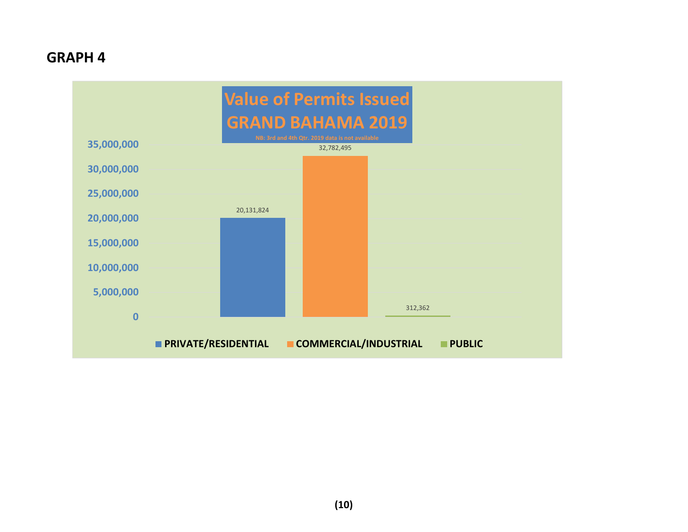## **GRAPH 4**

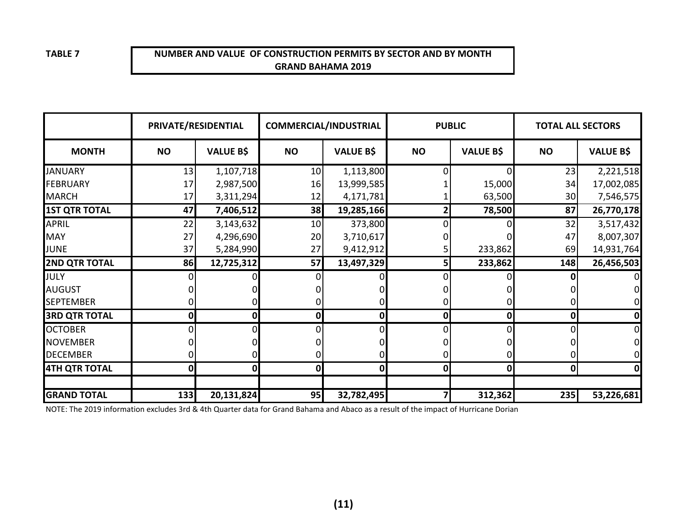## **NUMBER AND VALUE OF CONSTRUCTION PERMITS BY SECTOR AND BY MONTHGRAND BAHAMA 2019**

|                      | PRIVATE/RESIDENTIAL |                  |              | <b>COMMERCIAL/INDUSTRIAL</b> |              | <b>PUBLIC</b>    | <b>TOTAL ALL SECTORS</b> |                  |
|----------------------|---------------------|------------------|--------------|------------------------------|--------------|------------------|--------------------------|------------------|
| <b>MONTH</b>         | <b>NO</b>           | <b>VALUE B\$</b> | <b>NO</b>    | <b>VALUE B\$</b>             | <b>NO</b>    | <b>VALUE B\$</b> | <b>NO</b>                | <b>VALUE B\$</b> |
| <b>JANUARY</b>       | 13                  | 1,107,718        | 10           | 1,113,800                    | $\Omega$     |                  | 23                       | 2,221,518        |
| <b>FEBRUARY</b>      | 17                  | 2,987,500        | 16           | 13,999,585                   |              | 15,000           | 34                       | 17,002,085       |
| <b>MARCH</b>         | 17                  | 3,311,294        | 12           | 4,171,781                    |              | 63,500           | 30                       | 7,546,575        |
| <b>1ST QTR TOTAL</b> | 47                  | 7,406,512        | 38           | 19,285,166                   | 2            | 78,500           | 87                       | 26,770,178       |
| <b>APRIL</b>         | 22                  | 3,143,632        | 10           | 373,800                      | 0            |                  | 32                       | 3,517,432        |
| <b>MAY</b>           | 27                  | 4,296,690        | 20           | 3,710,617                    |              |                  | 47                       | 8,007,307        |
| JUNE                 | 37                  | 5,284,990        | 27           | 9,412,912                    |              | 233,862          | 69                       | 14,931,764       |
| <b>2ND QTR TOTAL</b> | 86                  | 12,725,312       | 57           | 13,497,329                   | 5            | 233,862          | 148                      | 26,456,503       |
| JULY                 |                     |                  | 0            |                              | 0            |                  | Ω                        |                  |
| <b>AUGUST</b>        |                     |                  |              |                              |              |                  |                          |                  |
| <b>SEPTEMBER</b>     |                     |                  |              |                              | 0            | 0                | 0                        |                  |
| <b>3RD QTR TOTAL</b> | 0                   | 0                | 0            | $\mathbf 0$                  | 0            | $\mathbf{0}$     | 0                        | 0                |
| <b>OCTOBER</b>       | 0                   |                  | 0            |                              | 0            |                  | 0                        |                  |
| <b>NOVEMBER</b>      |                     |                  |              |                              |              |                  |                          |                  |
| <b>DECEMBER</b>      | 0                   |                  |              |                              | 0            | 0                | 0                        |                  |
| <b>4TH QTR TOTAL</b> | $\mathbf{0}$        | 0                | $\mathbf{0}$ | $\mathbf{0}$                 | $\mathbf{0}$ | $\mathbf{0}$     | $\mathbf 0$              | 0                |
|                      |                     |                  |              |                              |              |                  |                          |                  |
| <b>GRAND TOTAL</b>   | 133                 | 20,131,824       | 95           | 32,782,495                   |              | 312,362          | 235                      | 53,226,681       |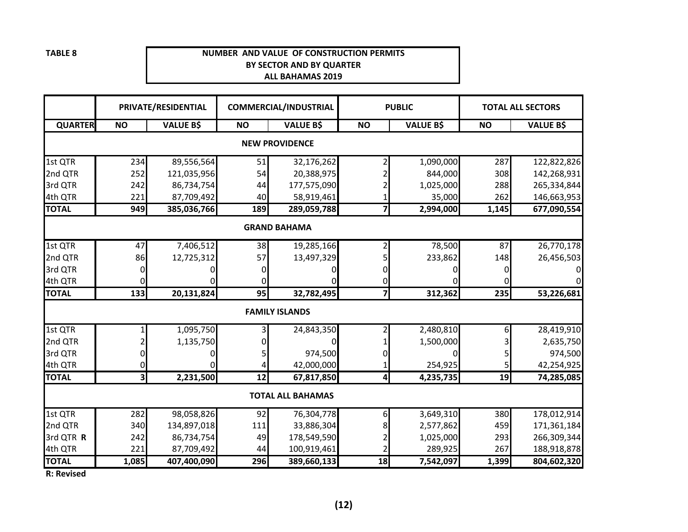#### **NUMBER AND VALUE OF CONSTRUCTION PERMITSBY SECTOR AND BY QUARTERALL BAHAMAS 2019**

|                |                         | PRIVATE/RESIDENTIAL |           | <b>COMMERCIAL/INDUSTRIAL</b> |           | <b>PUBLIC</b>    |           | <b>TOTAL ALL SECTORS</b> |  |  |  |  |
|----------------|-------------------------|---------------------|-----------|------------------------------|-----------|------------------|-----------|--------------------------|--|--|--|--|
| <b>QUARTER</b> | <b>NO</b>               | <b>VALUE B\$</b>    | <b>NO</b> | <b>VALUE B\$</b>             | <b>NO</b> | <b>VALUE B\$</b> | <b>NO</b> | <b>VALUE B\$</b>         |  |  |  |  |
|                | <b>NEW PROVIDENCE</b>   |                     |           |                              |           |                  |           |                          |  |  |  |  |
| 1st QTR        | 234                     | 89,556,564          | 51        | 32,176,262                   |           | 1,090,000        | 287       | 122,822,826              |  |  |  |  |
| 2nd QTR        | 252                     | 121,035,956         | 54        | 20,388,975                   |           | 844,000          | 308       | 142,268,931              |  |  |  |  |
| 3rd QTR        | 242                     | 86,734,754          | 44        | 177,575,090                  |           | 1,025,000        | 288       | 265,334,844              |  |  |  |  |
| 4th QTR        | 221                     | 87,709,492          | 40        | 58,919,461                   |           | 35,000           | 262       | 146,663,953              |  |  |  |  |
| <b>TOTAL</b>   | 949                     | 385,036,766         | 189       | 289,059,788                  | 7         | 2,994,000        | 1,145     | 677,090,554              |  |  |  |  |
|                |                         |                     |           | <b>GRAND BAHAMA</b>          |           |                  |           |                          |  |  |  |  |
| 1st QTR        | 47                      | 7,406,512           | 38        | 19,285,166                   |           | 78,500           | 87        | 26,770,178               |  |  |  |  |
| 2nd QTR        | 86                      | 12,725,312          | 57        | 13,497,329                   |           | 233,862          | 148       | 26,456,503               |  |  |  |  |
| 3rd QTR        | O                       |                     |           |                              |           |                  |           |                          |  |  |  |  |
| 4th QTR        |                         |                     |           |                              |           |                  |           |                          |  |  |  |  |
| <b>TOTAL</b>   | 133                     | 20,131,824          | 95        | 32,782,495                   | 7         | 312,362          | 235       | 53,226,681               |  |  |  |  |
|                |                         |                     |           | <b>FAMILY ISLANDS</b>        |           |                  |           |                          |  |  |  |  |
| 1st QTR        |                         | 1,095,750           |           | 24,843,350                   |           | 2,480,810        | 6         | 28,419,910               |  |  |  |  |
| 2nd QTR        |                         | 1,135,750           |           |                              |           | 1,500,000        |           | 2,635,750                |  |  |  |  |
| 3rd QTR        |                         |                     |           | 974,500                      |           |                  |           | 974,500                  |  |  |  |  |
| 4th QTR        |                         |                     |           | 42,000,000                   |           | 254,925          | 5         | 42,254,925               |  |  |  |  |
| <b>TOTAL</b>   | $\overline{\mathbf{3}}$ | 2,231,500           | 12        | 67,817,850                   | 4         | 4,235,735        | 19        | 74,285,085               |  |  |  |  |
|                |                         |                     |           | <b>TOTAL ALL BAHAMAS</b>     |           |                  |           |                          |  |  |  |  |
| 1st QTR        | 282                     | 98,058,826          | 92        | 76,304,778                   | 6         | 3,649,310        | 380       | 178,012,914              |  |  |  |  |
| 2nd QTR        | 340                     | 134,897,018         | 111       | 33,886,304                   |           | 2,577,862        | 459       | 171,361,184              |  |  |  |  |
| 3rd QTR R      | 242                     | 86,734,754          | 49        | 178,549,590                  |           | 1,025,000        | 293       | 266,309,344              |  |  |  |  |
| 4th QTR        | 221                     | 87,709,492          | 44        | 100,919,461                  |           | 289,925          | 267       | 188,918,878              |  |  |  |  |
| <b>TOTAL</b>   | 1,085                   | 407,400,090         | 296       | 389,660,133                  | 18        | 7,542,097        | 1,399     | 804,602,320              |  |  |  |  |

**R: Revised**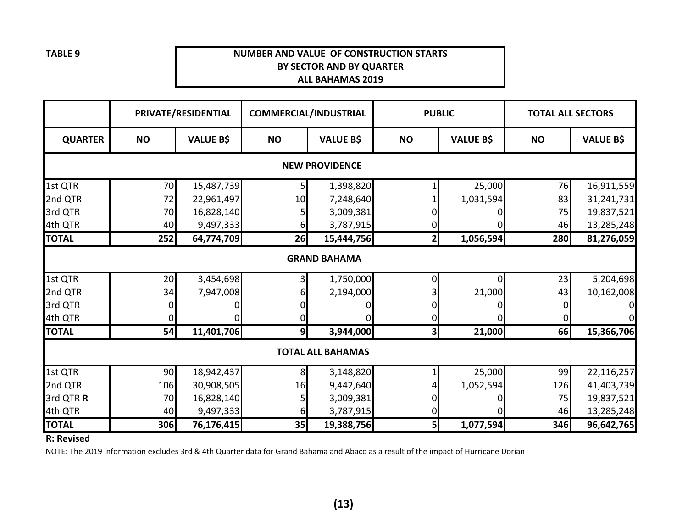## **NUMBER AND VALUE OF CONSTRUCTION STARTSBY SECTOR AND BY QUARTERALL BAHAMAS 2019**

|                       |                     | PRIVATE/RESIDENTIAL |                | <b>COMMERCIAL/INDUSTRIAL</b> | <b>PUBLIC</b>  |                  | <b>TOTAL ALL SECTORS</b> |                  |  |  |  |  |
|-----------------------|---------------------|---------------------|----------------|------------------------------|----------------|------------------|--------------------------|------------------|--|--|--|--|
| <b>QUARTER</b>        | <b>NO</b>           | <b>VALUE B\$</b>    | <b>NO</b>      | <b>VALUE B\$</b>             | <b>NO</b>      | <b>VALUE B\$</b> | <b>NO</b>                | <b>VALUE B\$</b> |  |  |  |  |
| <b>NEW PROVIDENCE</b> |                     |                     |                |                              |                |                  |                          |                  |  |  |  |  |
| 1st QTR               | 70                  | 15,487,739          |                | 1,398,820                    |                | 25,000           | 76                       | 16,911,559       |  |  |  |  |
| 2nd QTR               | 72                  | 22,961,497          | 10             | 7,248,640                    |                | 1,031,594        | 83                       | 31,241,731       |  |  |  |  |
| 3rd QTR               | 70                  | 16,828,140          |                | 3,009,381                    |                |                  | 75                       | 19,837,521       |  |  |  |  |
| 4th QTR               | 40                  | 9,497,333           | 6              | 3,787,915                    |                |                  | 46                       | 13,285,248       |  |  |  |  |
| <b>TOTAL</b>          | 252                 | 64,774,709          | 26             | 15,444,756                   | $\mathbf{2}$   | 1,056,594        | 280                      | 81,276,059       |  |  |  |  |
|                       | <b>GRAND BAHAMA</b> |                     |                |                              |                |                  |                          |                  |  |  |  |  |
| 1st QTR               | 20                  | 3,454,698           |                | 1,750,000                    |                | 0                | 23                       | 5,204,698        |  |  |  |  |
| 2nd QTR               | 34                  | 7,947,008           |                | 2,194,000                    |                | 21,000           | 43                       | 10,162,008       |  |  |  |  |
| 3rd QTR               |                     |                     |                |                              |                |                  |                          | 01               |  |  |  |  |
| 4th QTR               |                     |                     | 0              |                              |                |                  |                          | $\overline{O}$   |  |  |  |  |
| <b>TOTAL</b>          | 54                  | 11,401,706          | 9 <sub>l</sub> | 3,944,000                    | 3 <sup>1</sup> | 21,000           | 66                       | 15,366,706       |  |  |  |  |
|                       |                     |                     |                | <b>TOTAL ALL BAHAMAS</b>     |                |                  |                          |                  |  |  |  |  |
| 1st QTR               | 90                  | 18,942,437          | 8              | 3,148,820                    |                | 25,000           | 99                       | 22,116,257       |  |  |  |  |
| 2nd QTR               | 106                 | 30,908,505          | 16             | 9,442,640                    |                | 1,052,594        | 126                      | 41,403,739       |  |  |  |  |
| 3rd QTR R             | 70                  | 16,828,140          |                | 3,009,381                    |                |                  | 75                       | 19,837,521       |  |  |  |  |
| 4th QTR               | 40                  | 9,497,333           | 61             | 3,787,915                    |                |                  | 46                       | 13,285,248       |  |  |  |  |
| <b>TOTAL</b>          | 306                 | 76,176,415          | 35             | 19,388,756                   | 5              | 1,077,594        | 346                      | 96,642,765       |  |  |  |  |

**R: Revised**

NOTE: The 2019 information excludes 3rd & 4th Quarter data for Grand Bahama and Abaco as a result of the impact of Hurricane Dorian

**TABLE 9**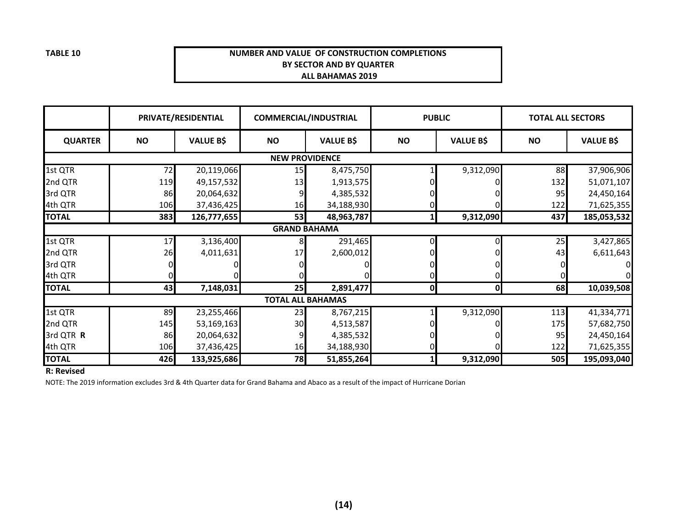#### **NUMBER AND VALUE OF CONSTRUCTION COMPLETIONSBY SECTOR AND BY QUARTER ALL BAHAMAS 2019**

|                |                       | PRIVATE/RESIDENTIAL |           | <b>COMMERCIAL/INDUSTRIAL</b> | <b>PUBLIC</b> |                  | <b>TOTAL ALL SECTORS</b> |                  |  |  |  |  |
|----------------|-----------------------|---------------------|-----------|------------------------------|---------------|------------------|--------------------------|------------------|--|--|--|--|
| <b>QUARTER</b> | <b>NO</b>             | <b>VALUE B\$</b>    | <b>NO</b> | <b>VALUE B\$</b>             | <b>NO</b>     | <b>VALUE B\$</b> | <b>NO</b>                | <b>VALUE B\$</b> |  |  |  |  |
|                | <b>NEW PROVIDENCE</b> |                     |           |                              |               |                  |                          |                  |  |  |  |  |
| 1st QTR        | 72                    | 20,119,066          | 15        | 8,475,750                    |               | 9,312,090        | 88                       | 37,906,906       |  |  |  |  |
| 2nd QTR        | 119                   | 49,157,532          | 13        | 1,913,575                    |               |                  | 132                      | 51,071,107       |  |  |  |  |
| 3rd QTR        | 86                    | 20,064,632          |           | 4,385,532                    |               |                  | 95                       | 24,450,164       |  |  |  |  |
| 4th QTR        | 106                   | 37,436,425          | 16        | 34,188,930                   |               |                  | 122                      | 71,625,355       |  |  |  |  |
| <b>TOTAL</b>   | 383                   | 126,777,655         | 53        | 48,963,787                   |               | 9,312,090        | 437                      | 185,053,532      |  |  |  |  |
|                |                       |                     |           | <b>GRAND BAHAMA</b>          |               |                  |                          |                  |  |  |  |  |
| 1st QTR        | 17                    | 3,136,400           |           | 291,465                      |               | 0                | 25                       | 3,427,865        |  |  |  |  |
| 2nd QTR        | 26                    | 4,011,631           | 17        | 2,600,012                    |               |                  | 43                       | 6,611,643        |  |  |  |  |
| 3rd QTR        |                       |                     |           |                              |               |                  |                          |                  |  |  |  |  |
| 4th QTR        |                       |                     |           |                              |               |                  |                          |                  |  |  |  |  |
| <b>TOTAL</b>   | 43                    | 7,148,031           | 25        | 2,891,477                    | $\mathbf{0}$  | 0                | 68                       | 10,039,508       |  |  |  |  |
|                |                       |                     |           | <b>TOTAL ALL BAHAMAS</b>     |               |                  |                          |                  |  |  |  |  |
| 1st QTR        | 89                    | 23,255,466          | 23        | 8,767,215                    |               | 9,312,090        | 113                      | 41,334,771       |  |  |  |  |
| 2nd QTR        | 145                   | 53,169,163          | 30        | 4,513,587                    |               |                  | 175                      | 57,682,750       |  |  |  |  |
| 3rd QTR R      | 86                    | 20,064,632          |           | 4,385,532                    |               |                  | 95                       | 24,450,164       |  |  |  |  |
| 4th QTR        | 106                   | 37,436,425          | 16        | 34,188,930                   |               |                  | 122                      | 71,625,355       |  |  |  |  |
| <b>TOTAL</b>   | 426                   | 133,925,686         | 78        | 51,855,264                   |               | 9,312,090        | 505                      | 195,093,040      |  |  |  |  |

**R: Revised**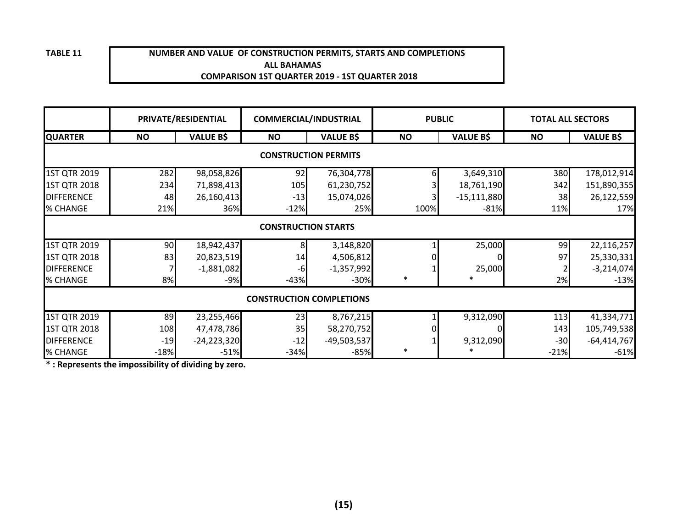#### **ALL BAHAMAS COMPARISON 1ST QUARTER 2019 - 1ST QUARTER 2018NUMBER AND VALUE OF CONSTRUCTION PERMITS, STARTS AND COMPLETIONS**

|                     |                             | PRIVATE/RESIDENTIAL | <b>COMMERCIAL/INDUSTRIAL</b> |                                 | <b>PUBLIC</b> |                  | <b>TOTAL ALL SECTORS</b> |                  |  |  |  |  |
|---------------------|-----------------------------|---------------------|------------------------------|---------------------------------|---------------|------------------|--------------------------|------------------|--|--|--|--|
| <b>QUARTER</b>      | <b>NO</b>                   | <b>VALUE B\$</b>    | <b>NO</b>                    | <b>VALUE B\$</b>                | <b>NO</b>     | <b>VALUE B\$</b> | <b>NO</b>                | <b>VALUE B\$</b> |  |  |  |  |
|                     | <b>CONSTRUCTION PERMITS</b> |                     |                              |                                 |               |                  |                          |                  |  |  |  |  |
| 1ST QTR 2019        | 282                         | 98,058,826          | 92                           | 76,304,778                      |               | 3,649,310        | 380                      | 178,012,914      |  |  |  |  |
| <b>1ST QTR 2018</b> | 234                         | 71,898,413          | 105                          | 61,230,752                      |               | 18,761,190       | 342                      | 151,890,355      |  |  |  |  |
| <b>DIFFERENCE</b>   | 48                          | 26,160,413          | $-13$                        | 15,074,026                      |               | $-15,111,880$    | 38                       | 26,122,559       |  |  |  |  |
| % CHANGE            | 21%                         | 36%                 | $-12%$                       | 25%                             | 100%          | $-81%$           | 11%                      | 17%              |  |  |  |  |
|                     |                             |                     | <b>CONSTRUCTION STARTS</b>   |                                 |               |                  |                          |                  |  |  |  |  |
| 1ST QTR 2019        | 90                          | 18,942,437          | 8                            | 3,148,820                       |               | 25,000           | 99                       | 22,116,257       |  |  |  |  |
| <b>1ST QTR 2018</b> | 83                          | 20,823,519          | 14                           | 4,506,812                       |               | 0                | 97                       | 25,330,331       |  |  |  |  |
| <b>DIFFERENCE</b>   |                             | $-1,881,082$        | -6                           | $-1,357,992$                    |               | 25,000           |                          | $-3,214,074$     |  |  |  |  |
| % CHANGE            | 8%                          | $-9%$               | $-43%$                       | $-30%$                          | $\ast$        | *                | 2%                       | $-13%$           |  |  |  |  |
|                     |                             |                     |                              | <b>CONSTRUCTION COMPLETIONS</b> |               |                  |                          |                  |  |  |  |  |
| 1ST QTR 2019        | 89                          | 23,255,466          | 23                           | 8,767,215                       |               | 9,312,090        | 113                      | 41,334,771       |  |  |  |  |
| 1ST QTR 2018        | 108                         | 47,478,786          | 35                           | 58,270,752                      |               |                  | 143                      | 105,749,538      |  |  |  |  |
| <b>DIFFERENCE</b>   | $-19$                       | $-24,223,320$       | $-12$                        | $-49,503,537$                   |               | 9,312,090        | $-30$                    | $-64,414,767$    |  |  |  |  |
| % CHANGE            | $-18%$                      | $-51%$              | $-34%$                       | $-85%$                          | $\ast$        |                  | $-21%$                   | $-61%$           |  |  |  |  |

**\* : Represents the impossibility of dividing by zero.**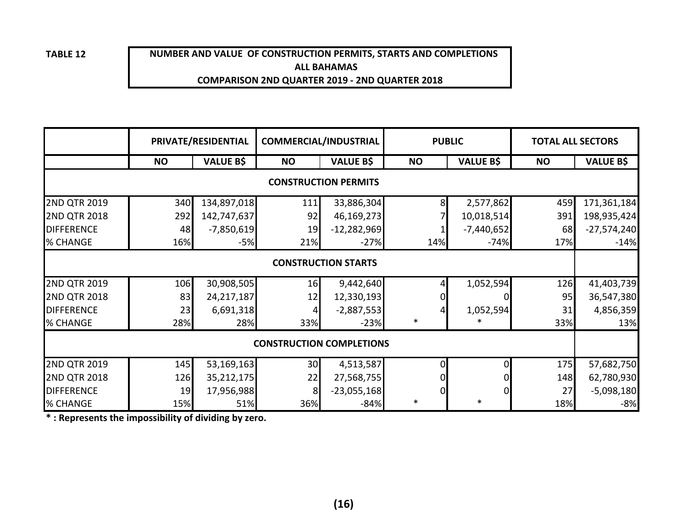## **NUMBER AND VALUE OF CONSTRUCTION PERMITS, STARTS AND COMPLETIONS ALL BAHAMASCOMPARISON 2ND QUARTER 2019 - 2ND QUARTER 2018**

|                     |           | PRIVATE/RESIDENTIAL | <b>COMMERCIAL/INDUSTRIAL</b>    |                             |           | <b>PUBLIC</b>    | <b>TOTAL ALL SECTORS</b> |                  |
|---------------------|-----------|---------------------|---------------------------------|-----------------------------|-----------|------------------|--------------------------|------------------|
|                     | <b>NO</b> | <b>VALUE B\$</b>    | <b>NO</b>                       | <b>VALUE B\$</b>            | <b>NO</b> | <b>VALUE B\$</b> | <b>NO</b>                | <b>VALUE B\$</b> |
|                     |           |                     |                                 | <b>CONSTRUCTION PERMITS</b> |           |                  |                          |                  |
| <b>2ND QTR 2019</b> | 340       | 134,897,018         | 111                             | 33,886,304                  | 8         | 2,577,862        | 459                      | 171,361,184      |
| <b>2ND QTR 2018</b> | 292       | 142,747,637         | 92                              | 46,169,273                  |           | 10,018,514       | 391                      | 198,935,424      |
| <b>DIFFERENCE</b>   | 48        | $-7,850,619$        | 19                              | $-12,282,969$               |           | $-7,440,652$     | 68                       | $-27,574,240$    |
| % CHANGE            | 16%       | $-5%$               | 21%                             | $-27%$                      | 14%       | $-74%$           | 17%                      | $-14%$           |
|                     |           |                     |                                 | <b>CONSTRUCTION STARTS</b>  |           |                  |                          |                  |
| <b>2ND QTR 2019</b> | 106       | 30,908,505          | 16                              | 9,442,640                   |           | 1,052,594        | 126                      | 41,403,739       |
| <b>2ND QTR 2018</b> | 83        | 24, 217, 187        | 12                              | 12,330,193                  |           | 0                | 95                       | 36,547,380       |
| <b>DIFFERENCE</b>   | 23        | 6,691,318           |                                 | $-2,887,553$                |           | 1,052,594        | 31                       | 4,856,359        |
| % CHANGE            | 28%       | 28%                 | 33%                             | $-23%$                      | $\ast$    |                  | 33%                      | 13%              |
|                     |           |                     | <b>CONSTRUCTION COMPLETIONS</b> |                             |           |                  |                          |                  |
| <b>2ND QTR 2019</b> | 145       | 53,169,163          | 30                              | 4,513,587                   | 0         | Οl               | 175                      | 57,682,750       |
| <b>2ND QTR 2018</b> | 126       | 35,212,175          | 22                              | 27,568,755                  |           | 0                | 148                      | 62,780,930       |
| <b>DIFFERENCE</b>   | 19        | 17,956,988          | 8                               | $-23,055,168$               | 0         | $\overline{0}$   | 27                       | $-5,098,180$     |
| % CHANGE            | 15%       | 51%                 | 36%                             | $-84%$                      | $\ast$    | $\ast$           | 18%                      | $-8%$            |

**\* : Represents the impossibility of dividing by zero.**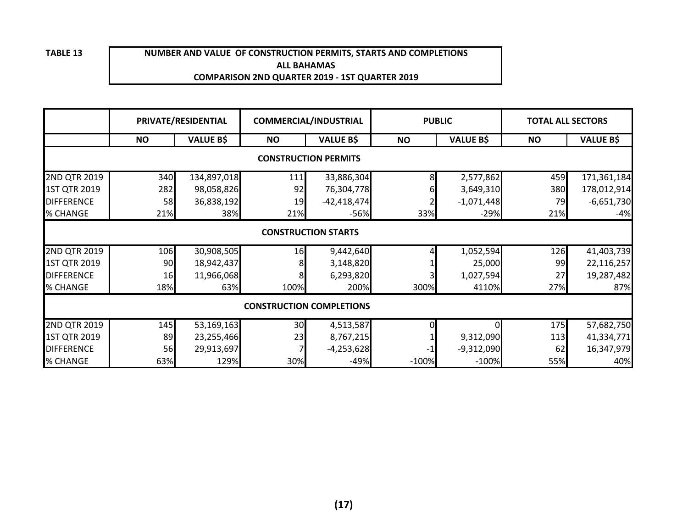#### **NUMBER AND VALUE OF CONSTRUCTION PERMITS, STARTS AND COMPLETIONSALL BAHAMASCOMPARISON 2ND QUARTER 2019 - 1ST QUARTER 2019**

|                     |           | PRIVATE/RESIDENTIAL |           | <b>COMMERCIAL/INDUSTRIAL</b>    |           | <b>PUBLIC</b>    | <b>TOTAL ALL SECTORS</b> |                  |
|---------------------|-----------|---------------------|-----------|---------------------------------|-----------|------------------|--------------------------|------------------|
|                     | <b>NO</b> | <b>VALUE B\$</b>    | <b>NO</b> | <b>VALUE B\$</b>                | <b>NO</b> | <b>VALUE B\$</b> | <b>NO</b>                | <b>VALUE B\$</b> |
|                     |           |                     |           | <b>CONSTRUCTION PERMITS</b>     |           |                  |                          |                  |
| 2ND QTR 2019        | 340       | 134,897,018         | 111       | 33,886,304                      |           | 2,577,862        | 459                      | 171,361,184      |
| <b>1ST QTR 2019</b> | 282       | 98,058,826          | 92        | 76,304,778                      |           | 3,649,310        | 380                      | 178,012,914      |
| <b>DIFFERENCE</b>   | 58        | 36,838,192          | 19        | $-42,418,474$                   |           | $-1,071,448$     | 79                       | $-6,651,730$     |
| % CHANGE            | 21%       | 38%                 | 21%       | $-56%$                          | 33%       | $-29%$           | 21%                      | $-4%$            |
|                     |           |                     |           | <b>CONSTRUCTION STARTS</b>      |           |                  |                          |                  |
| 2ND QTR 2019        | 106       | 30,908,505          | 16        | 9,442,640                       |           | 1,052,594        | 126                      | 41,403,739       |
| 1ST QTR 2019        | 90        | 18,942,437          |           | 3,148,820                       |           | 25,000           | 99                       | 22,116,257       |
| <b>DIFFERENCE</b>   | 16        | 11,966,068          | 8         | 6,293,820                       |           | 1,027,594        | 27                       | 19,287,482       |
| % CHANGE            | 18%       | 63%                 | 100%      | 200%                            | 300%      | 4110%            | 27%                      | 87%              |
|                     |           |                     |           | <b>CONSTRUCTION COMPLETIONS</b> |           |                  |                          |                  |
| 2ND QTR 2019        | 145       | 53,169,163          | 30        | 4,513,587                       |           |                  | 175                      | 57,682,750       |
| 1ST QTR 2019        | 89        | 23,255,466          | 23        | 8,767,215                       |           | 9,312,090        | 113                      | 41,334,771       |
| <b>DIFFERENCE</b>   | 56        | 29,913,697          |           | $-4,253,628$                    |           | $-9,312,090$     | 62                       | 16,347,979       |
| % CHANGE            | 63%       | 129%                | 30%       | $-49%$                          | $-100%$   | $-100%$          | 55%                      | 40%              |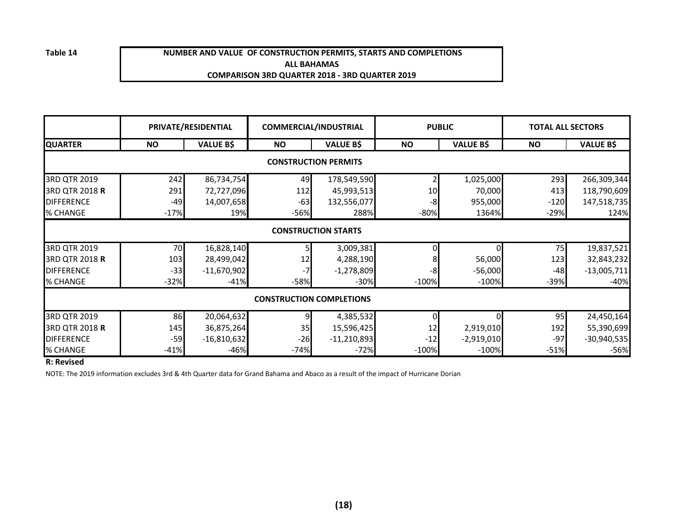**Table 14**

#### **NUMBER AND VALUE OF CONSTRUCTION PERMITS, STARTS AND COMPLETIONSALL BAHAMASCOMPARISON 3RD QUARTER 2018 - 3RD QUARTER 2019**

|                   |           | PRIVATE/RESIDENTIAL | <b>COMMERCIAL/INDUSTRIAL</b>    |                             |         | <b>PUBLIC</b>    | <b>TOTAL ALL SECTORS</b> |                  |
|-------------------|-----------|---------------------|---------------------------------|-----------------------------|---------|------------------|--------------------------|------------------|
| <b>QUARTER</b>    | <b>NO</b> | <b>VALUE B\$</b>    | <b>NO</b>                       | <b>VALUE B\$</b>            | ΝO      | <b>VALUE B\$</b> | <b>NO</b>                | <b>VALUE B\$</b> |
|                   |           |                     |                                 | <b>CONSTRUCTION PERMITS</b> |         |                  |                          |                  |
| 3RD QTR 2019      | 242       | 86,734,754          | 49                              | 178,549,590                 |         | 1,025,000        | 293                      | 266,309,344      |
| 3RD QTR 2018 R    | 291       | 72,727,096          | 112                             | 45,993,513                  |         | 70,000           | 413                      | 118,790,609      |
| <b>DIFFERENCE</b> | $-49$     | 14,007,658          | $-63$                           | 132,556,077                 | -8      | 955,000          | $-120$                   | 147,518,735      |
| % CHANGE          | $-17%$    | 19%                 | $-56%$                          | 288%                        | $-80%$  | 1364%            | $-29%$                   | 124%             |
|                   |           |                     |                                 | <b>CONSTRUCTION STARTS</b>  |         |                  |                          |                  |
| 3RD QTR 2019      | 70        | 16,828,140          |                                 | 3,009,381                   |         |                  | 75                       | 19,837,521       |
| 3RD QTR 2018 R    | 103       | 28,499,042          | 12                              | 4,288,190                   |         | 56,000           | 123                      | 32,843,232       |
| <b>DIFFERENCE</b> | $-33$     | $-11,670,902$       |                                 | $-1,278,809$                | -8      | $-56,000$        | $-48$                    | $-13,005,711$    |
| % CHANGE          | $-32%$    | $-41%$              | $-58%$                          | $-30%$                      | $-100%$ | $-100%$          | $-39%$                   | $-40%$           |
|                   |           |                     | <b>CONSTRUCTION COMPLETIONS</b> |                             |         |                  |                          |                  |
| 3RD QTR 2019      | 86        | 20,064,632          |                                 | 4,385,532                   |         |                  | 95                       | 24,450,164       |
| 3RD QTR 2018 R    | 145       | 36,875,264          | 35                              | 15,596,425                  | 12      | 2,919,010        | 192                      | 55,390,699       |
| <b>DIFFERENCE</b> | $-59$     | $-16,810,632$       | $-26$                           | $-11,210,893$               | $-12$   | $-2,919,010$     | $-97$                    | $-30,940,535$    |
| % CHANGE          | $-41%$    | $-46%$              | $-74%$                          | $-72%$                      | $-100%$ | $-100%$          | $-51%$                   | $-56%$           |

**R: Revised**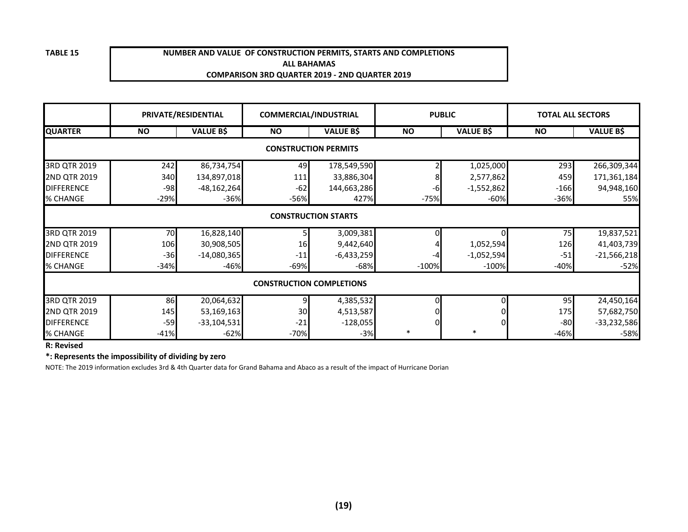#### **NUMBER AND VALUE OF CONSTRUCTION PERMITS, STARTS AND COMPLETIONSALL BAHAMASCOMPARISON 3RD QUARTER 2019 - 2ND QUARTER 2019**

|                     |           | PRIVATE/RESIDENTIAL |           | <b>COMMERCIAL/INDUSTRIAL</b>    | <b>PUBLIC</b> |                  | <b>TOTAL ALL SECTORS</b> |                  |
|---------------------|-----------|---------------------|-----------|---------------------------------|---------------|------------------|--------------------------|------------------|
| <b>QUARTER</b>      | <b>NO</b> | <b>VALUE B\$</b>    | <b>NO</b> | <b>VALUE B\$</b>                | <b>NO</b>     | <b>VALUE B\$</b> | <b>NO</b>                | <b>VALUE B\$</b> |
|                     |           |                     |           | <b>CONSTRUCTION PERMITS</b>     |               |                  |                          |                  |
| 3RD QTR 2019        | 242       | 86,734,754          | 49        | 178,549,590                     |               | 1,025,000        | 293                      | 266,309,344      |
| 2ND QTR 2019        | 340       | 134,897,018         | 111       | 33,886,304                      |               | 2,577,862        | 459                      | 171,361,184      |
| <b>DIFFERENCE</b>   | $-98$     | $-48,162,264$       | $-62$     | 144,663,286                     | -6            | $-1,552,862$     | $-166$                   | 94,948,160       |
| % CHANGE            | $-29%$    | $-36%$              | $-56%$    | 427%                            | $-75%$        | $-60%$           | $-36%$                   | 55%              |
|                     |           |                     |           | <b>CONSTRUCTION STARTS</b>      |               |                  |                          |                  |
| 3RD QTR 2019        | 70        | 16,828,140          |           | 3,009,381                       |               | ΩI               | 75                       | 19,837,521       |
| <b>2ND QTR 2019</b> | 106       | 30,908,505          | <b>16</b> | 9,442,640                       |               | 1,052,594        | 126                      | 41,403,739       |
| <b>DIFFERENCE</b>   | $-36$     | $-14,080,365$       | $-11$     | $-6,433,259$                    | -4            | $-1,052,594$     | $-51$                    | $-21,566,218$    |
| % CHANGE            | $-34%$    | $-46%$              | -69%      | $-68%$                          | $-100%$       | $-100%$          | $-40%$                   | $-52%$           |
|                     |           |                     |           | <b>CONSTRUCTION COMPLETIONS</b> |               |                  |                          |                  |
| 3RD QTR 2019        | 86        | 20,064,632          | 9         | 4,385,532                       | 0             | 0l               | 95                       | 24,450,164       |
| 2ND QTR 2019        | 145       | 53,169,163          | 30        | 4,513,587                       |               |                  | 175                      | 57,682,750       |
| <b>DIFFERENCE</b>   | $-59$     | $-33,104,531$       | $-21$     | $-128,055$                      | $\Omega$      | ΟI               | $-80$                    | $-33,232,586$    |
| % CHANGE            | $-41%$    | $-62%$              | $-70%$    | $-3%$                           | $\ast$        | $\ast$           | $-46%$                   | $-58%$           |

**R: Revised**

**\*: Represents the impossibility of dividing by zero**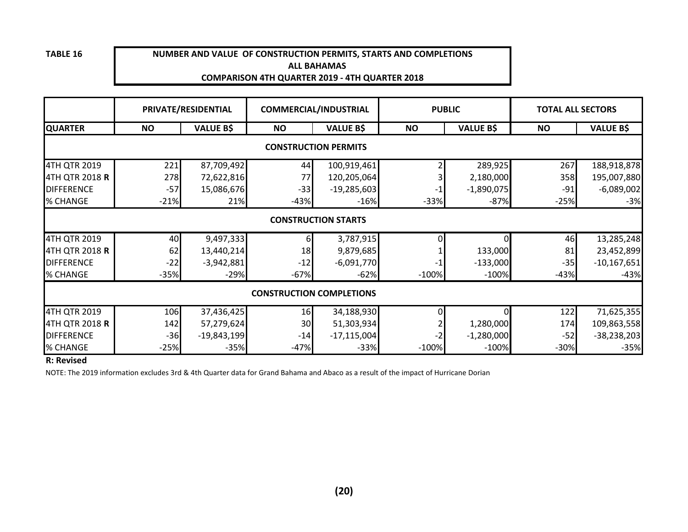#### **NUMBER AND VALUE OF CONSTRUCTION PERMITS, STARTS AND COMPLETIONS ALL BAHAMASCOMPARISON 4TH QUARTER 2019 - 4TH QUARTER 2018**

|                       |           | PRIVATE/RESIDENTIAL |                                 | <b>COMMERCIAL/INDUSTRIAL</b> | <b>PUBLIC</b> |                  | <b>TOTAL ALL SECTORS</b> |                  |
|-----------------------|-----------|---------------------|---------------------------------|------------------------------|---------------|------------------|--------------------------|------------------|
| <b>QUARTER</b>        | <b>NO</b> | <b>VALUE B\$</b>    | <b>NO</b>                       | <b>VALUE B\$</b>             | <b>NO</b>     | <b>VALUE B\$</b> | <b>NO</b>                | <b>VALUE B\$</b> |
|                       |           |                     |                                 | <b>CONSTRUCTION PERMITS</b>  |               |                  |                          |                  |
| 4TH QTR 2019          | 221       | 87,709,492          | 44                              | 100,919,461                  |               | 289,925          | 267                      | 188,918,878      |
| 4TH QTR 2018 <b>R</b> | 278       | 72,622,816          | 77                              | 120,205,064                  |               | 2,180,000        | 358                      | 195,007,880      |
| <b>DIFFERENCE</b>     | $-57$     | 15,086,676          | $-33$                           | $-19,285,603$                |               | $-1,890,075$     | $-91$                    | $-6,089,002$     |
| % CHANGE              | $-21%$    | 21%                 | $-43%$                          | $-16%$                       | $-33%$        | $-87%$           | $-25%$                   | $-3%$            |
|                       |           |                     |                                 | <b>CONSTRUCTION STARTS</b>   |               |                  |                          |                  |
| 4TH QTR 2019          | 40        | 9,497,333           | h                               | 3,787,915                    |               |                  | 46                       | 13,285,248       |
| 4TH QTR 2018 <b>R</b> | 62        | 13,440,214          | 18                              | 9,879,685                    |               | 133,000          | 81                       | 23,452,899       |
| <b>DIFFERENCE</b>     | $-22$     | $-3,942,881$        | $-12$                           | $-6,091,770$                 |               | $-133,000$       | $-35$                    | $-10,167,651$    |
| % CHANGE              | $-35%$    | $-29%$              | $-67%$                          | $-62%$                       | $-100%$       | $-100%$          | $-43%$                   | $-43%$           |
|                       |           |                     | <b>CONSTRUCTION COMPLETIONS</b> |                              |               |                  |                          |                  |
| 4TH QTR 2019          | 106       | 37,436,425          | 16                              | 34,188,930                   |               | ΩI               | 122                      | 71,625,355       |
| 4TH QTR 2018 <b>R</b> | 142       | 57,279,624          | 30                              | 51,303,934                   |               | 1,280,000        | 174                      | 109,863,558      |
| <b>DIFFERENCE</b>     | $-36$     | $-19,843,199$       | $-14$                           | $-17,115,004$                |               | $-1,280,000$     | $-52$                    | $-38,238,203$    |
| % CHANGE              | $-25%$    | $-35%$              | $-47%$                          | $-33%$                       | $-100%$       | $-100%$          | $-30%$                   | $-35%$           |

#### **R: Revised**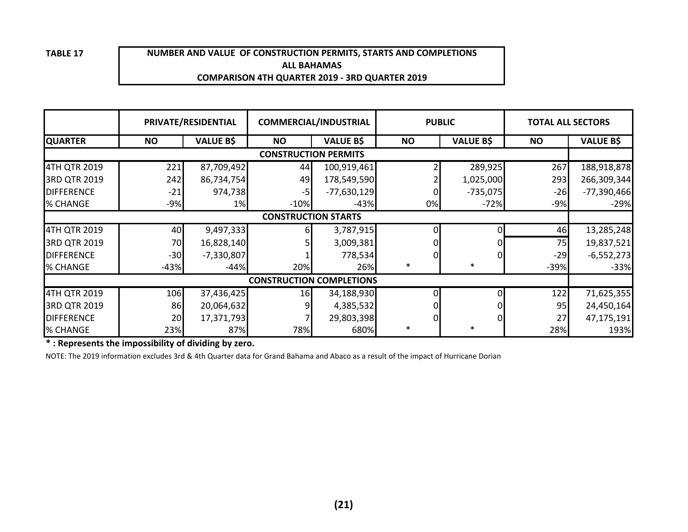#### **NUMBER AND VALUE OF CONSTRUCTION PERMITS, STARTS AND COMPLETIONSALL BAHAMASCOMPARISON 4TH QUARTER 2019 - 3RD QUARTER 2019**

|                   |                            | PRIVATE/RESIDENTIAL | <b>COMMERCIAL/INDUSTRIAL</b>    |                  | <b>PUBLIC</b> |                  | <b>TOTAL ALL SECTORS</b> |                  |  |  |  |
|-------------------|----------------------------|---------------------|---------------------------------|------------------|---------------|------------------|--------------------------|------------------|--|--|--|
| <b>QUARTER</b>    | <b>NO</b>                  | <b>VALUE B\$</b>    | <b>NO</b>                       | <b>VALUE B\$</b> | <b>NO</b>     | <b>VALUE B\$</b> | <b>NO</b>                | <b>VALUE B\$</b> |  |  |  |
|                   |                            |                     | <b>CONSTRUCTION PERMITS</b>     |                  |               |                  |                          |                  |  |  |  |
| 4TH QTR 2019      | 221                        | 87,709,492          | 44                              | 100,919,461      |               | 289,925          | 267                      | 188,918,878      |  |  |  |
| 3RD QTR 2019      | 242                        | 86,734,754          | 49                              | 178,549,590      |               | 1,025,000        | 293                      | 266,309,344      |  |  |  |
| <b>DIFFERENCE</b> | $-21$                      | 974,738             | -5                              | $-77,630,129$    |               | $-735,075$       | $-26$                    | $-77,390,466$    |  |  |  |
| % CHANGE          | $-9%$                      | 1%                  | $-10%$                          | $-43%$           | 0%            | $-72%$           | $-9%$                    | $-29%$           |  |  |  |
|                   | <b>CONSTRUCTION STARTS</b> |                     |                                 |                  |               |                  |                          |                  |  |  |  |
| 4TH QTR 2019      | 40                         | 9,497,333           |                                 | 3,787,915        |               |                  | 46                       | 13,285,248       |  |  |  |
| 3RD QTR 2019      | 70                         | 16,828,140          |                                 | 3,009,381        |               |                  | 75                       | 19,837,521       |  |  |  |
| <b>DIFFERENCE</b> | $-30$                      | $-7,330,807$        |                                 | 778,534          |               |                  | $-29$                    | $-6,552,273$     |  |  |  |
| % CHANGE          | $-43%$                     | $-44%$              | 20%                             | 26%              | $\ast$        | $\ast$           | $-39%$                   | $-33%$           |  |  |  |
|                   |                            |                     | <b>CONSTRUCTION COMPLETIONS</b> |                  |               |                  |                          |                  |  |  |  |
| 4TH QTR 2019      | 106                        | 37,436,425          | 16                              | 34,188,930       |               |                  | 122                      | 71,625,355       |  |  |  |
| 3RD QTR 2019      | 86                         | 20,064,632          | 9                               | 4,385,532        |               |                  | 95                       | 24,450,164       |  |  |  |
| <b>DIFFERENCE</b> | 20                         | 17,371,793          |                                 | 29,803,398       |               |                  | 27                       | 47,175,191       |  |  |  |
| % CHANGE          | 23%                        | 87%                 | 78%                             | 680%             | $\ast$        | $\ast$           | 28%                      | 193%             |  |  |  |

**\* : Represents the impossibility of dividing by zero.**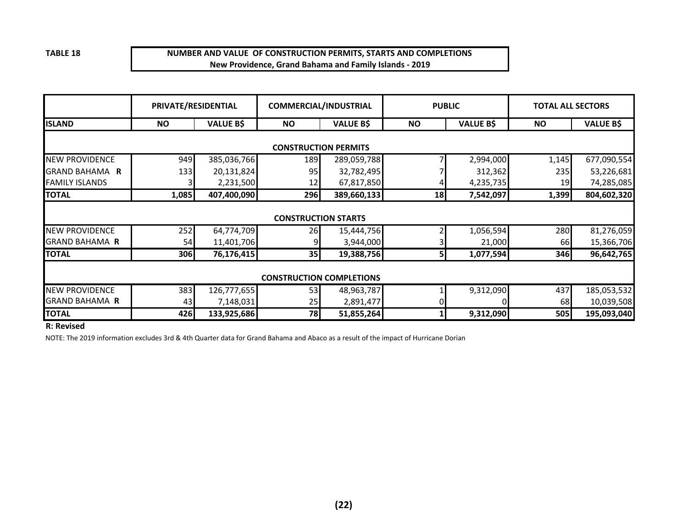#### **NUMBER AND VALUE OF CONSTRUCTION PERMITS, STARTS AND COMPLETIONSNew Providence, Grand Bahama and Family Islands - 2019**

|                       | PRIVATE/RESIDENTIAL |                  | <b>COMMERCIAL/INDUSTRIAL</b>    |                  | <b>PUBLIC</b> |                  | <b>TOTAL ALL SECTORS</b> |                  |
|-----------------------|---------------------|------------------|---------------------------------|------------------|---------------|------------------|--------------------------|------------------|
| <b>ISLAND</b>         | <b>NO</b>           | <b>VALUE B\$</b> | <b>NO</b>                       | <b>VALUE B\$</b> | <b>NO</b>     | <b>VALUE B\$</b> | <b>NO</b>                | <b>VALUE B\$</b> |
|                       |                     |                  | <b>CONSTRUCTION PERMITS</b>     |                  |               |                  |                          |                  |
| <b>NEW PROVIDENCE</b> | 949                 | 385,036,766      | 189                             | 289,059,788      |               | 2,994,000        | 1,145                    | 677,090,554      |
| GRAND BAHAMA R        | 133                 | 20,131,824       | 95                              | 32,782,495       |               | 312,362          | 235                      | 53,226,681       |
| <b>FAMILY ISLANDS</b> |                     | 2,231,500        | 12                              | 67,817,850       |               | 4,235,735        | 19                       | 74,285,085       |
| <b>TOTAL</b>          | 1,085               | 407,400,090      | 296                             | 389,660,133      | 18            | 7,542,097        | 1,399                    | 804,602,320      |
|                       |                     |                  | <b>CONSTRUCTION STARTS</b>      |                  |               |                  |                          |                  |
| <b>NEW PROVIDENCE</b> | 252                 | 64,774,709       | 26                              | 15,444,756       |               | 1,056,594        | 280                      | 81,276,059       |
| <b>GRAND BAHAMA R</b> | 54                  | 11,401,706       |                                 | 3,944,000        |               | 21,000           | 66                       | 15,366,706       |
| <b>TOTAL</b>          | 306                 | 76,176,415       | 35                              | 19,388,756       | 51            | 1,077,594        | 346                      | 96,642,765       |
|                       |                     |                  | <b>CONSTRUCTION COMPLETIONS</b> |                  |               |                  |                          |                  |
| <b>NEW PROVIDENCE</b> | 383                 | 126,777,655      | 53                              | 48,963,787       |               | 9,312,090        | 437                      | 185,053,532      |
| <b>GRAND BAHAMA R</b> | 43                  | 7,148,031        | 25                              | 2,891,477        |               |                  | 68                       | 10,039,508       |
| <b>TOTAL</b>          | 426                 | 133,925,686      | <b>78</b>                       | 51,855,264       |               | 9,312,090        | 505                      | 195,093,040      |

#### **R: Revised**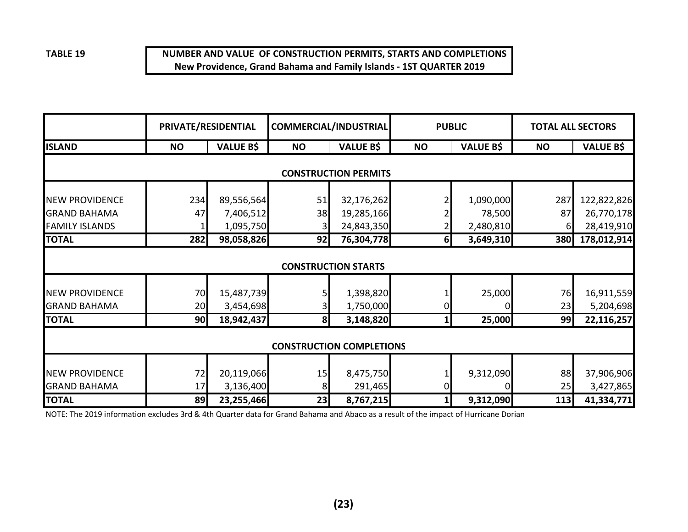#### **NUMBER AND VALUE OF CONSTRUCTION PERMITS, STARTS AND COMPLETIONSNew Providence, Grand Bahama and Family Islands - 1ST QUARTER 2019**

|                                              | PRIVATE/RESIDENTIAL         |                         | <b>COMMERCIAL/INDUSTRIAL</b> |                                 | <b>PUBLIC</b> |                  | <b>TOTAL ALL SECTORS</b> |                         |  |  |  |  |
|----------------------------------------------|-----------------------------|-------------------------|------------------------------|---------------------------------|---------------|------------------|--------------------------|-------------------------|--|--|--|--|
| <b>ISLAND</b>                                | <b>NO</b>                   | <b>VALUE B\$</b>        | <b>NO</b>                    | <b>VALUE B\$</b>                | <b>NO</b>     | <b>VALUE B\$</b> | <b>NO</b>                | <b>VALUE B\$</b>        |  |  |  |  |
|                                              | <b>CONSTRUCTION PERMITS</b> |                         |                              |                                 |               |                  |                          |                         |  |  |  |  |
| <b>NEW PROVIDENCE</b>                        | 234                         | 89,556,564              | 51                           | 32,176,262                      |               | 1,090,000        | 287                      | 122,822,826             |  |  |  |  |
| <b>GRAND BAHAMA</b>                          | 47                          | 7,406,512               | 38                           | 19,285,166                      |               | 78,500           | 87                       | 26,770,178              |  |  |  |  |
| <b>FAMILY ISLANDS</b>                        |                             | 1,095,750               |                              | 24,843,350                      |               | 2,480,810        | 6                        | 28,419,910              |  |  |  |  |
| <b>TOTAL</b>                                 | 282                         | 98,058,826              | 92                           | 76,304,778                      | 61            | 3,649,310        | <b>380</b>               | 178,012,914             |  |  |  |  |
|                                              |                             |                         |                              | <b>CONSTRUCTION STARTS</b>      |               |                  |                          |                         |  |  |  |  |
| <b>NEW PROVIDENCE</b>                        | 70                          | 15,487,739              |                              | 1,398,820                       |               | 25,000           | 76                       | 16,911,559              |  |  |  |  |
| <b>GRAND BAHAMA</b>                          | 20                          | 3,454,698               |                              | 1,750,000                       |               |                  | 23                       | 5,204,698               |  |  |  |  |
| <b>TOTAL</b>                                 | 90                          | 18,942,437              | 8 <sup>l</sup>               | 3,148,820                       |               | 25,000           | 99                       | 22,116,257              |  |  |  |  |
|                                              |                             |                         |                              | <b>CONSTRUCTION COMPLETIONS</b> |               |                  |                          |                         |  |  |  |  |
| <b>NEW PROVIDENCE</b><br><b>GRAND BAHAMA</b> | 72<br>17                    | 20,119,066<br>3,136,400 | 15                           | 8,475,750<br>291,465            |               | 9,312,090        | 88<br>25                 | 37,906,906              |  |  |  |  |
| <b>TOTAL</b>                                 | 89                          | 23,255,466              | 8<br>23                      | 8,767,215                       |               | 9,312,090        | 113                      | 3,427,865<br>41,334,771 |  |  |  |  |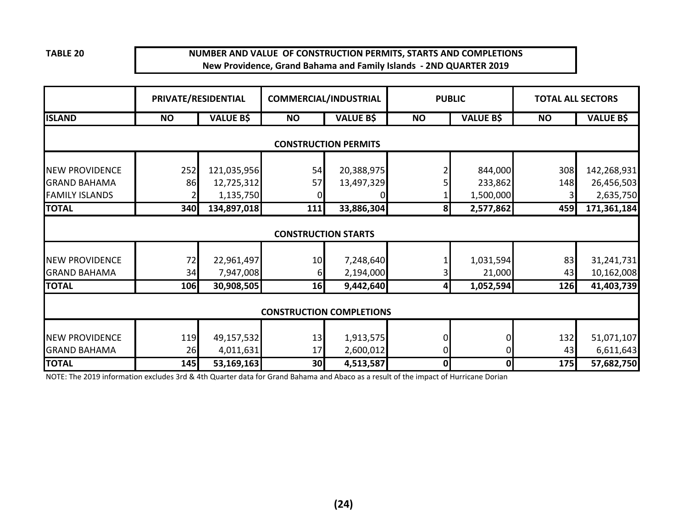#### **NUMBER AND VALUE OF CONSTRUCTION PERMITS, STARTS AND COMPLETIONSNew Providence, Grand Bahama and Family Islands - 2ND QUARTER 2019**

|                                              | PRIVATE/RESIDENTIAL |                         | <b>COMMERCIAL/INDUSTRIAL</b>    |                             |              | <b>PUBLIC</b>        | <b>TOTAL ALL SECTORS</b> |                         |
|----------------------------------------------|---------------------|-------------------------|---------------------------------|-----------------------------|--------------|----------------------|--------------------------|-------------------------|
| <b>ISLAND</b>                                | <b>NO</b>           | <b>VALUE B\$</b>        | <b>NO</b>                       | <b>VALUE B\$</b>            | <b>NO</b>    | <b>VALUE B\$</b>     | <b>NO</b>                | <b>VALUE B\$</b>        |
|                                              |                     |                         |                                 | <b>CONSTRUCTION PERMITS</b> |              |                      |                          |                         |
| <b>NEW PROVIDENCE</b>                        | 252                 | 121,035,956             | 54                              | 20,388,975                  |              | 844,000              | 308                      | 142,268,931             |
| <b>GRAND BAHAMA</b><br><b>FAMILY ISLANDS</b> | 86                  | 12,725,312<br>1,135,750 | 57                              | 13,497,329                  |              | 233,862<br>1,500,000 | 148                      | 26,456,503<br>2,635,750 |
| <b>TOTAL</b>                                 | 340                 | 134,897,018             | 111                             | 33,886,304                  | 8            | 2,577,862            | 459                      | 171,361,184             |
|                                              |                     |                         | <b>CONSTRUCTION STARTS</b>      |                             |              |                      |                          |                         |
| <b>NEW PROVIDENCE</b>                        | 72                  | 22,961,497              | 10                              | 7,248,640                   |              | 1,031,594            | 83                       | 31,241,731              |
| <b>GRAND BAHAMA</b>                          | 34                  | 7,947,008               | 61                              | 2,194,000                   |              | 21,000               | 43                       | 10,162,008              |
| <b>TOTAL</b>                                 | 106                 | 30,908,505              | 16                              | 9,442,640                   | 4            | 1,052,594            | 126                      | 41,403,739              |
|                                              |                     |                         | <b>CONSTRUCTION COMPLETIONS</b> |                             |              |                      |                          |                         |
| <b>NEW PROVIDENCE</b><br><b>GRAND BAHAMA</b> | 119<br>26           | 49,157,532<br>4,011,631 | 13<br>17                        | 1,913,575<br>2,600,012      | 0<br>0       | 0<br>0               | 132<br>43                | 51,071,107<br>6,611,643 |
| <b>TOTAL</b>                                 | 145                 | 53,169,163              | 30 <sub>l</sub>                 | 4,513,587                   | $\mathbf{0}$ | 0                    | 175                      | 57,682,750              |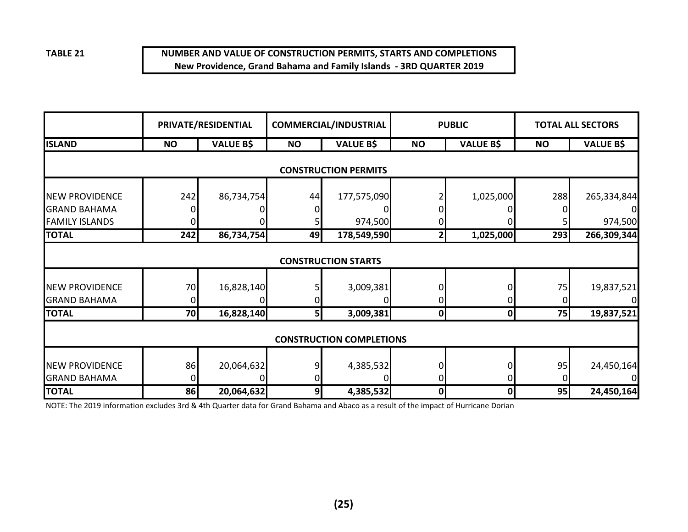#### **NUMBER AND VALUE OF CONSTRUCTION PERMITS, STARTS AND COMPLETIONSNew Providence, Grand Bahama and Family Islands - 3RD QUARTER 2019**

|                                              |           | PRIVATE/RESIDENTIAL |           | <b>COMMERCIAL/INDUSTRIAL</b>    |                | <b>PUBLIC</b>    |           | <b>TOTAL ALL SECTORS</b> |
|----------------------------------------------|-----------|---------------------|-----------|---------------------------------|----------------|------------------|-----------|--------------------------|
| <b>ISLAND</b>                                | <b>NO</b> | <b>VALUE B\$</b>    | <b>NO</b> | <b>VALUE B\$</b>                | <b>NO</b>      | <b>VALUE B\$</b> | <b>NO</b> | <b>VALUE B\$</b>         |
|                                              |           |                     |           | <b>CONSTRUCTION PERMITS</b>     |                |                  |           |                          |
| <b>NEW PROVIDENCE</b>                        | 242       | 86,734,754          | 44        | 177,575,090                     |                | 1,025,000        | 288       | 265,334,844              |
| <b>GRAND BAHAMA</b><br><b>FAMILY ISLANDS</b> |           |                     |           | 974,500                         |                |                  |           | 974,500                  |
| <b>TOTAL</b>                                 | 242       | 86,734,754          | 49        | 178,549,590                     | 2 <sub>l</sub> | 1,025,000        | 293       | 266,309,344              |
|                                              |           |                     |           | <b>CONSTRUCTION STARTS</b>      |                |                  |           |                          |
| <b>NEW PROVIDENCE</b>                        | 70        | 16,828,140          |           | 3,009,381                       |                |                  | 75        | 19,837,521               |
| <b>GRAND BAHAMA</b>                          |           |                     |           |                                 |                |                  |           |                          |
| <b>TOTAL</b>                                 | 70        | 16,828,140          | 5         | 3,009,381                       | 0              | $\mathbf 0$      | 75        | 19,837,521               |
|                                              |           |                     |           | <b>CONSTRUCTION COMPLETIONS</b> |                |                  |           |                          |
| <b>NEW PROVIDENCE</b><br><b>GRAND BAHAMA</b> | 86        | 20,064,632          |           | 4,385,532                       |                |                  | 95        | 24,450,164               |
| <b>TOTAL</b>                                 | 86        | 20,064,632          | 9         | 4,385,532                       | 0              | 0                | 95        | 24,450,164               |